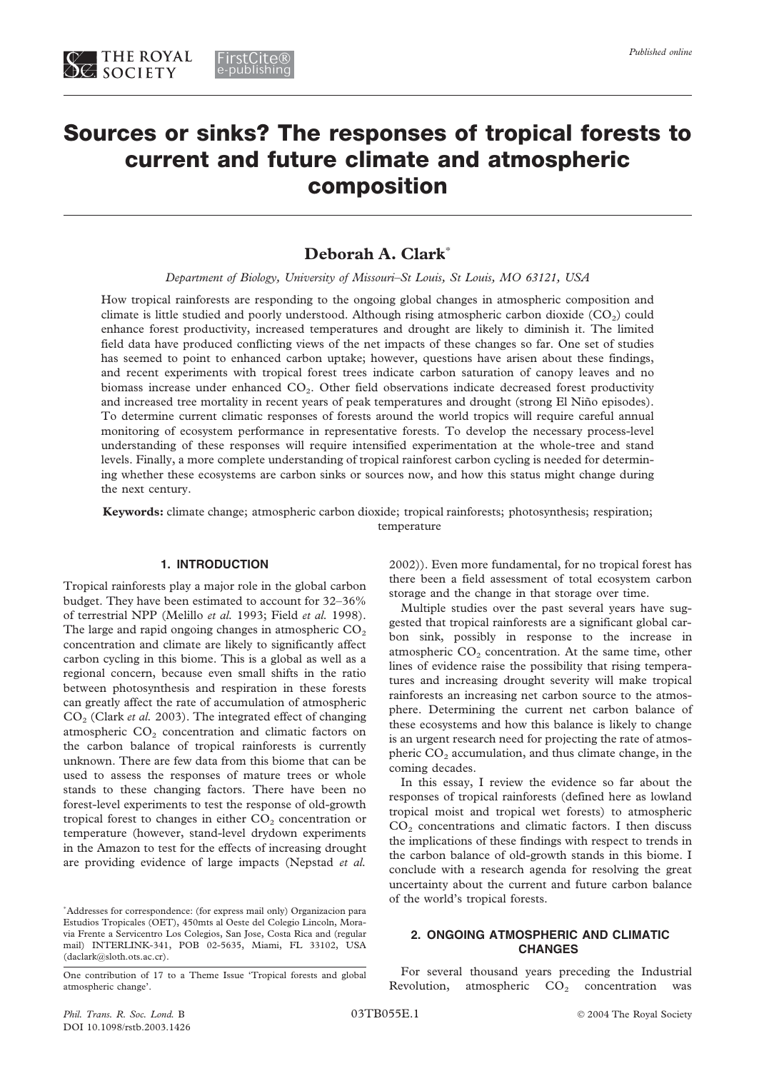# **Sources or sinks? The responses of tropical forests to current and future climate and atmospheric composition**

## **Deborah A. Clark**\*

*Department of Biology, University of Missouri–St Louis, St Louis, MO 63121, USA*

How tropical rainforests are responding to the ongoing global changes in atmospheric composition and climate is little studied and poorly understood. Although rising atmospheric carbon dioxide  $(CO<sub>2</sub>)$  could enhance forest productivity, increased temperatures and drought are likely to diminish it. The limited field data have produced conflicting views of the net impacts of these changes so far. One set of studies has seemed to point to enhanced carbon uptake; however, questions have arisen about these findings, and recent experiments with tropical forest trees indicate carbon saturation of canopy leaves and no biomass increase under enhanced  $CO<sub>2</sub>$ . Other field observations indicate decreased forest productivity and increased tree mortality in recent years of peak temperatures and drought (strong El Niño episodes). To determine current climatic responses of forests around the world tropics will require careful annual monitoring of ecosystem performance in representative forests. To develop the necessary process-level understanding of these responses will require intensified experimentation at the whole-tree and stand levels. Finally, a more complete understanding of tropical rainforest carbon cycling is needed for determining whether these ecosystems are carbon sinks or sources now, and how this status might change during the next century.

**Keywords:** climate change; atmospheric carbon dioxide; tropical rainforests; photosynthesis; respiration; temperature

## **1. INTRODUCTION**

Tropical rainforests play a major role in the global carbon budget. They have been estimated to account for 32–36% of terrestrial NPP (Melillo *et al.* 1993; Field *et al.* 1998). The large and rapid ongoing changes in atmospheric  $CO<sub>2</sub>$ concentration and climate are likely to significantly affect carbon cycling in this biome. This is a global as well as a regional concern, because even small shifts in the ratio between photosynthesis and respiration in these forests can greatly affect the rate of accumulation of atmospheric CO2 (Clark *et al.* 2003). The integrated effect of changing atmospheric  $CO<sub>2</sub>$  concentration and climatic factors on the carbon balance of tropical rainforests is currently unknown. There are few data from this biome that can be used to assess the responses of mature trees or whole stands to these changing factors. There have been no forest-level experiments to test the response of old-growth tropical forest to changes in either  $CO<sub>2</sub>$  concentration or temperature (however, stand-level drydown experiments in the Amazon to test for the effects of increasing drought are providing evidence of large impacts (Nepstad *et al.*

\* Addresses for correspondence: (for express mail only) Organizacion para Estudios Tropicales (OET), 450mts al Oeste del Colegio Lincoln, Moravia Frente a Servicentro Los Colegios, San Jose, Costa Rica and (regular mail) INTERLINK-341, POB 02-5635, Miami, FL 33102, USA (daclark@sloth.ots.ac.cr).

One contribution of 17 to a Theme Issue 'Tropical forests and global atmospheric change'.

2002)). Even more fundamental, for no tropical forest has there been a field assessment of total ecosystem carbon storage and the change in that storage over time.

Multiple studies over the past several years have suggested that tropical rainforests are a significant global carbon sink, possibly in response to the increase in atmospheric  $CO<sub>2</sub>$  concentration. At the same time, other lines of evidence raise the possibility that rising temperatures and increasing drought severity will make tropical rainforests an increasing net carbon source to the atmosphere. Determining the current net carbon balance of these ecosystems and how this balance is likely to change is an urgent research need for projecting the rate of atmospheric  $CO<sub>2</sub>$  accumulation, and thus climate change, in the coming decades.

In this essay, I review the evidence so far about the responses of tropical rainforests (defined here as lowland tropical moist and tropical wet forests) to atmospheric  $CO<sub>2</sub>$  concentrations and climatic factors. I then discuss the implications of these findings with respect to trends in the carbon balance of old-growth stands in this biome. I conclude with a research agenda for resolving the great uncertainty about the current and future carbon balance of the world's tropical forests.

## **2. ONGOING ATMOSPHERIC AND CLIMATIC CHANGES**

For several thousand years preceding the Industrial Revolution, atmospheric  $CO<sub>2</sub>$  concentration was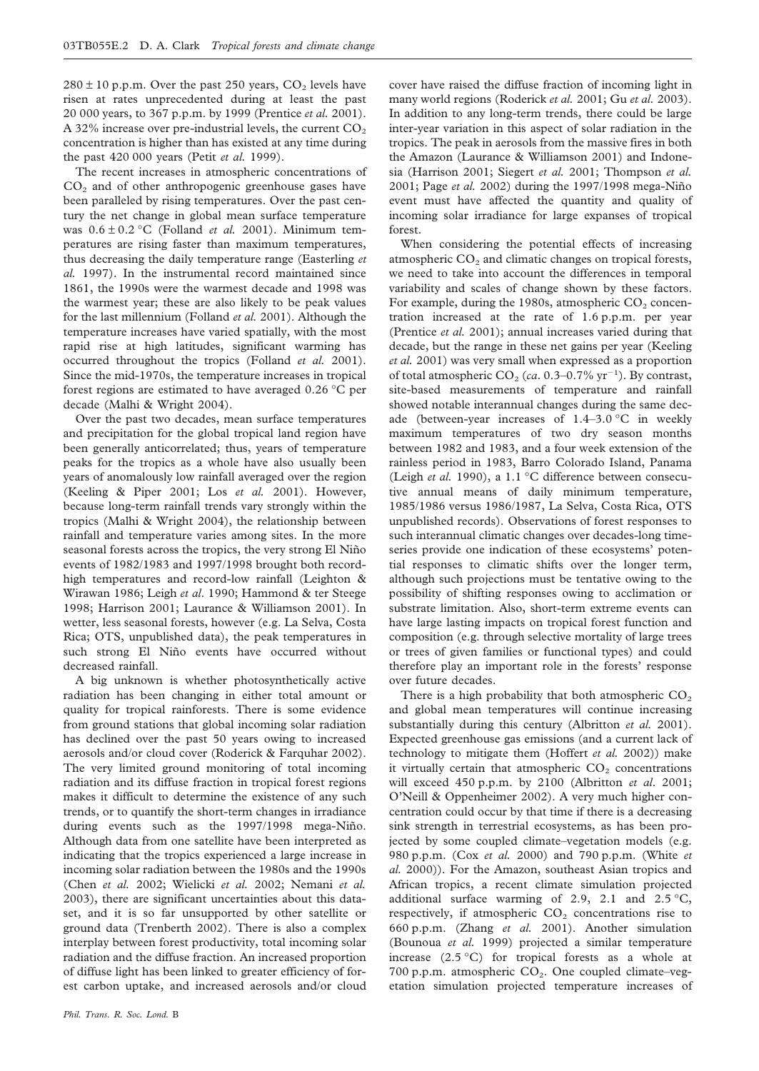$280 \pm 10$  p.p.m. Over the past 250 years,  $CO<sub>2</sub>$  levels have risen at rates unprecedented during at least the past 20 000 years, to 367 p.p.m. by 1999 (Prentice *et al.* 2001). A 32% increase over pre-industrial levels, the current  $CO<sub>2</sub>$ concentration is higher than has existed at any time during the past 420 000 years (Petit *et al.* 1999).

The recent increases in atmospheric concentrations of  $CO<sub>2</sub>$  and of other anthropogenic greenhouse gases have been paralleled by rising temperatures. Over the past century the net change in global mean surface temperature was 0.6 ± 0.2 °C (Folland *et al.* 2001). Minimum temperatures are rising faster than maximum temperatures, thus decreasing the daily temperature range (Easterling *et al.* 1997). In the instrumental record maintained since 1861, the 1990s were the warmest decade and 1998 was the warmest year; these are also likely to be peak values for the last millennium (Folland *et al.* 2001). Although the temperature increases have varied spatially, with the most rapid rise at high latitudes, significant warming has occurred throughout the tropics (Folland *et al.* 2001). Since the mid-1970s, the temperature increases in tropical forest regions are estimated to have averaged 0.26 °C per decade (Malhi & Wright 2004).

Over the past two decades, mean surface temperatures and precipitation for the global tropical land region have been generally anticorrelated; thus, years of temperature peaks for the tropics as a whole have also usually been years of anomalously low rainfall averaged over the region (Keeling & Piper 2001; Los *et al.* 2001). However, because long-term rainfall trends vary strongly within the tropics (Malhi & Wright 2004), the relationship between rainfall and temperature varies among sites. In the more seasonal forests across the tropics, the very strong El Niño events of 1982/1983 and 1997/1998 brought both recordhigh temperatures and record-low rainfall (Leighton & Wirawan 1986; Leigh *et al*. 1990; Hammond & ter Steege 1998; Harrison 2001; Laurance & Williamson 2001). In wetter, less seasonal forests, however (e.g. La Selva, Costa Rica; OTS, unpublished data), the peak temperatures in such strong El Niño events have occurred without decreased rainfall.

A big unknown is whether photosynthetically active radiation has been changing in either total amount or quality for tropical rainforests. There is some evidence from ground stations that global incoming solar radiation has declined over the past 50 years owing to increased aerosols and/or cloud cover (Roderick & Farquhar 2002). The very limited ground monitoring of total incoming radiation and its diffuse fraction in tropical forest regions makes it difficult to determine the existence of any such trends, or to quantify the short-term changes in irradiance during events such as the 1997/1998 mega-Niño. Although data from one satellite have been interpreted as indicating that the tropics experienced a large increase in incoming solar radiation between the 1980s and the 1990s (Chen *et al.* 2002; Wielicki *et al.* 2002; Nemani *et al.* 2003), there are significant uncertainties about this dataset, and it is so far unsupported by other satellite or ground data (Trenberth 2002). There is also a complex interplay between forest productivity, total incoming solar radiation and the diffuse fraction. An increased proportion of diffuse light has been linked to greater efficiency of forest carbon uptake, and increased aerosols and/or cloud

cover have raised the diffuse fraction of incoming light in many world regions (Roderick *et al.* 2001; Gu *et al.* 2003). In addition to any long-term trends, there could be large inter-year variation in this aspect of solar radiation in the tropics. The peak in aerosols from the massive fires in both the Amazon (Laurance & Williamson 2001) and Indonesia (Harrison 2001; Siegert *et al.* 2001; Thompson *et al.* 2001; Page *et al.* 2002) during the 1997/1998 mega-Niño event must have affected the quantity and quality of incoming solar irradiance for large expanses of tropical forest.

When considering the potential effects of increasing atmospheric  $CO<sub>2</sub>$  and climatic changes on tropical forests, we need to take into account the differences in temporal variability and scales of change shown by these factors. For example, during the 1980s, atmospheric  $CO<sub>2</sub>$  concentration increased at the rate of 1.6 p.p.m. per year (Prentice *et al.* 2001); annual increases varied during that decade, but the range in these net gains per year (Keeling *et al.* 2001) was very small when expressed as a proportion of total atmospheric  $CO_2$  (*ca*. 0.3–0.7% yr<sup>-1</sup>). By contrast, site-based measurements of temperature and rainfall showed notable interannual changes during the same decade (between-year increases of 1.4–3.0 °C in weekly maximum temperatures of two dry season months between 1982 and 1983, and a four week extension of the rainless period in 1983, Barro Colorado Island, Panama (Leigh *et al.* 1990), a 1.1 °C difference between consecutive annual means of daily minimum temperature, 1985/1986 versus 1986/1987, La Selva, Costa Rica, OTS unpublished records). Observations of forest responses to such interannual climatic changes over decades-long timeseries provide one indication of these ecosystems' potential responses to climatic shifts over the longer term, although such projections must be tentative owing to the possibility of shifting responses owing to acclimation or substrate limitation. Also, short-term extreme events can have large lasting impacts on tropical forest function and composition (e.g. through selective mortality of large trees or trees of given families or functional types) and could therefore play an important role in the forests' response over future decades.

There is a high probability that both atmospheric  $CO<sub>2</sub>$ and global mean temperatures will continue increasing substantially during this century (Albritton *et al.* 2001). Expected greenhouse gas emissions (and a current lack of technology to mitigate them (Hoffert *et al.* 2002)) make it virtually certain that atmospheric  $CO<sub>2</sub>$  concentrations will exceed 450 p.p.m. by 2100 (Albritton *et al*. 2001; O'Neill & Oppenheimer 2002). A very much higher concentration could occur by that time if there is a decreasing sink strength in terrestrial ecosystems, as has been projected by some coupled climate–vegetation models (e.g. 980 p.p.m. (Cox *et al.* 2000) and 790 p.p.m. (White *et al.* 2000)). For the Amazon, southeast Asian tropics and African tropics, a recent climate simulation projected additional surface warming of 2.9, 2.1 and  $2.5\text{ °C}$ , respectively, if atmospheric  $CO<sub>2</sub>$  concentrations rise to 660 p.p.m. (Zhang *et al.* 2001). Another simulation (Bounoua *et al.* 1999) projected a similar temperature increase (2.5 °C) for tropical forests as a whole at 700 p.p.m. atmospheric  $CO<sub>2</sub>$ . One coupled climate–vegetation simulation projected temperature increases of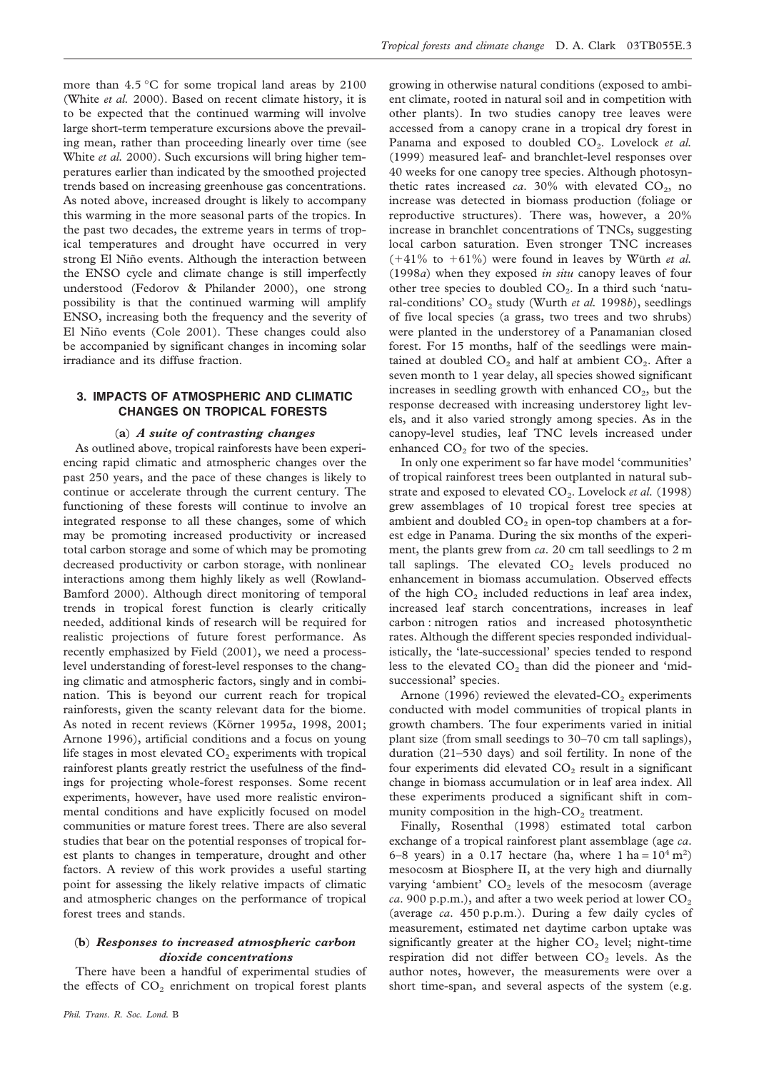more than 4.5 °C for some tropical land areas by 2100 (White *et al.* 2000). Based on recent climate history, it is to be expected that the continued warming will involve large short-term temperature excursions above the prevailing mean, rather than proceeding linearly over time (see White *et al.* 2000). Such excursions will bring higher temperatures earlier than indicated by the smoothed projected trends based on increasing greenhouse gas concentrations. As noted above, increased drought is likely to accompany this warming in the more seasonal parts of the tropics. In the past two decades, the extreme years in terms of tropical temperatures and drought have occurred in very strong El Niño events. Although the interaction between the ENSO cycle and climate change is still imperfectly understood (Fedorov & Philander 2000), one strong possibility is that the continued warming will amplify ENSO, increasing both the frequency and the severity of El Niño events (Cole 2001). These changes could also be accompanied by significant changes in incoming solar irradiance and its diffuse fraction.

## **3. IMPACTS OF ATMOSPHERIC AND CLIMATIC CHANGES ON TROPICAL FORESTS**

#### (**a**) *A suite of contrasting changes*

As outlined above, tropical rainforests have been experiencing rapid climatic and atmospheric changes over the past 250 years, and the pace of these changes is likely to continue or accelerate through the current century. The functioning of these forests will continue to involve an integrated response to all these changes, some of which may be promoting increased productivity or increased total carbon storage and some of which may be promoting decreased productivity or carbon storage, with nonlinear interactions among them highly likely as well (Rowland-Bamford 2000). Although direct monitoring of temporal trends in tropical forest function is clearly critically needed, additional kinds of research will be required for realistic projections of future forest performance. As recently emphasized by Field (2001), we need a processlevel understanding of forest-level responses to the changing climatic and atmospheric factors, singly and in combination. This is beyond our current reach for tropical rainforests, given the scanty relevant data for the biome. As noted in recent reviews (Körner 1995*a*, 1998, 2001; Arnone 1996), artificial conditions and a focus on young life stages in most elevated  $CO<sub>2</sub>$  experiments with tropical rainforest plants greatly restrict the usefulness of the findings for projecting whole-forest responses. Some recent experiments, however, have used more realistic environmental conditions and have explicitly focused on model communities or mature forest trees. There are also several studies that bear on the potential responses of tropical forest plants to changes in temperature, drought and other factors. A review of this work provides a useful starting point for assessing the likely relative impacts of climatic and atmospheric changes on the performance of tropical forest trees and stands.

## (**b**) *Responses to increased atmospheric carbon dioxide concentrations*

There have been a handful of experimental studies of the effects of  $CO<sub>2</sub>$  enrichment on tropical forest plants

growing in otherwise natural conditions (exposed to ambient climate, rooted in natural soil and in competition with other plants). In two studies canopy tree leaves were accessed from a canopy crane in a tropical dry forest in Panama and exposed to doubled CO<sub>2</sub>. Lovelock et al. (1999) measured leaf- and branchlet-level responses over 40 weeks for one canopy tree species. Although photosynthetic rates increased *ca*.  $30\%$  with elevated  $CO<sub>2</sub>$ , no increase was detected in biomass production (foliage or reproductive structures). There was, however, a 20% increase in branchlet concentrations of TNCs, suggesting local carbon saturation. Even stronger TNC increases  $(+41\%$  to  $+61\%)$  were found in leaves by Würth *et al.* (1998*a*) when they exposed *in situ* canopy leaves of four other tree species to doubled  $CO<sub>2</sub>$ . In a third such 'natural-conditions' CO<sub>2</sub> study (Wurth *et al.* 1998*b*), seedlings of five local species (a grass, two trees and two shrubs) were planted in the understorey of a Panamanian closed forest. For 15 months, half of the seedlings were maintained at doubled  $CO<sub>2</sub>$  and half at ambient  $CO<sub>2</sub>$ . After a seven month to 1 year delay, all species showed significant increases in seedling growth with enhanced  $CO<sub>2</sub>$ , but the response decreased with increasing understorey light levels, and it also varied strongly among species. As in the canopy-level studies, leaf TNC levels increased under enhanced  $CO<sub>2</sub>$  for two of the species.

In only one experiment so far have model 'communities' of tropical rainforest trees been outplanted in natural substrate and exposed to elevated CO<sub>2</sub>. Lovelock *et al.* (1998) grew assemblages of 10 tropical forest tree species at ambient and doubled  $CO<sub>2</sub>$  in open-top chambers at a forest edge in Panama. During the six months of the experiment, the plants grew from *ca*. 20 cm tall seedlings to 2 m tall saplings. The elevated  $CO<sub>2</sub>$  levels produced no enhancement in biomass accumulation. Observed effects of the high  $CO<sub>2</sub>$  included reductions in leaf area index, increased leaf starch concentrations, increases in leaf carbon : nitrogen ratios and increased photosynthetic rates. Although the different species responded individualistically, the 'late-successional' species tended to respond less to the elevated  $CO<sub>2</sub>$  than did the pioneer and 'midsuccessional' species.

Arnone (1996) reviewed the elevated- $CO<sub>2</sub>$  experiments conducted with model communities of tropical plants in growth chambers. The four experiments varied in initial plant size (from small seedings to 30–70 cm tall saplings), duration (21–530 days) and soil fertility. In none of the four experiments did elevated  $CO<sub>2</sub>$  result in a significant change in biomass accumulation or in leaf area index. All these experiments produced a significant shift in community composition in the high- $CO<sub>2</sub>$  treatment.

Finally, Rosenthal (1998) estimated total carbon exchange of a tropical rainforest plant assemblage (age *ca*. 6–8 years) in a 0.17 hectare (ha, where  $1 \text{ ha} = 10^4 \text{ m}^2$ ) mesocosm at Biosphere II, at the very high and diurnally varying 'ambient'  $CO<sub>2</sub>$  levels of the mesocosm (average *ca*. 900 p.p.m.), and after a two week period at lower  $CO<sub>2</sub>$ (average *ca*. 450 p.p.m.). During a few daily cycles of measurement, estimated net daytime carbon uptake was significantly greater at the higher  $CO<sub>2</sub>$  level; night-time respiration did not differ between  $CO<sub>2</sub>$  levels. As the author notes, however, the measurements were over a short time-span, and several aspects of the system (e.g.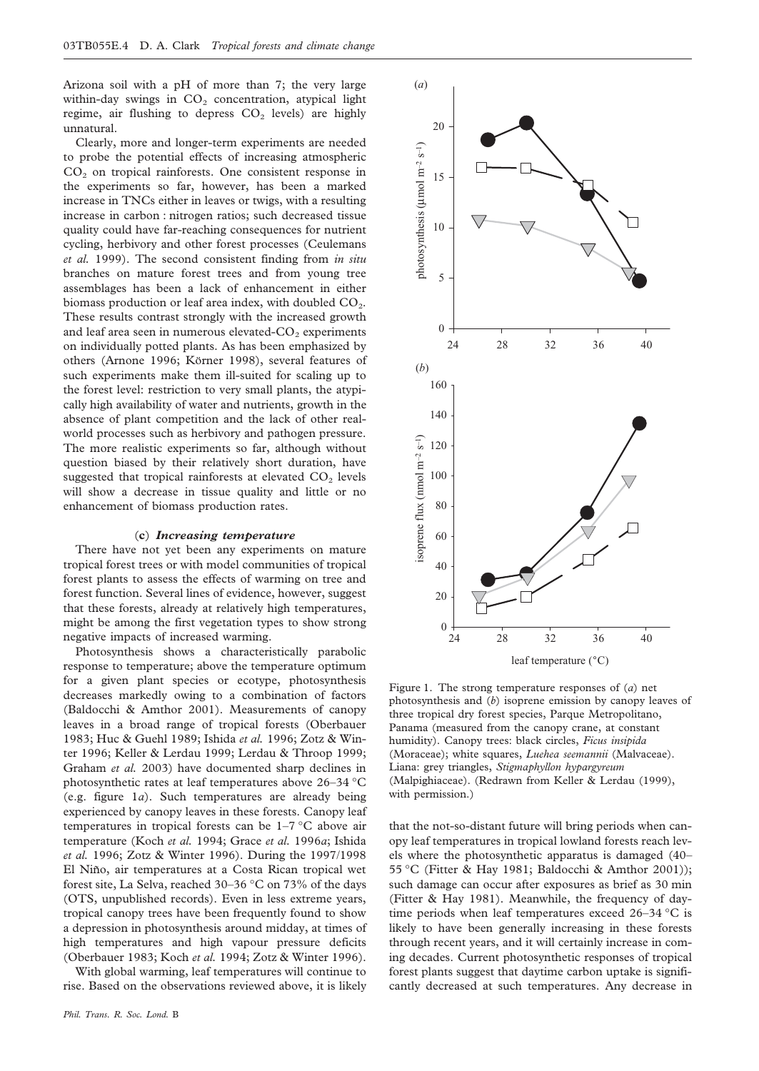Arizona soil with a pH of more than 7; the very large within-day swings in  $CO<sub>2</sub>$  concentration, atypical light regime, air flushing to depress  $CO<sub>2</sub>$  levels) are highly unnatural.

Clearly, more and longer-term experiments are needed to probe the potential effects of increasing atmospheric  $CO<sub>2</sub>$  on tropical rainforests. One consistent response in the experiments so far, however, has been a marked increase in TNCs either in leaves or twigs, with a resulting increase in carbon : nitrogen ratios; such decreased tissue quality could have far-reaching consequences for nutrient cycling, herbivory and other forest processes (Ceulemans *et al.* 1999). The second consistent finding from *in situ* branches on mature forest trees and from young tree assemblages has been a lack of enhancement in either biomass production or leaf area index, with doubled  $CO<sub>2</sub>$ . These results contrast strongly with the increased growth and leaf area seen in numerous elevated- $CO<sub>2</sub>$  experiments on individually potted plants. As has been emphasized by others (Arnone 1996; Körner 1998), several features of such experiments make them ill-suited for scaling up to the forest level: restriction to very small plants, the atypically high availability of water and nutrients, growth in the absence of plant competition and the lack of other realworld processes such as herbivory and pathogen pressure. The more realistic experiments so far, although without question biased by their relatively short duration, have suggested that tropical rainforests at elevated  $CO<sub>2</sub>$  levels will show a decrease in tissue quality and little or no enhancement of biomass production rates.

#### (**c**) *Increasing temperature*

There have not yet been any experiments on mature tropical forest trees or with model communities of tropical forest plants to assess the effects of warming on tree and forest function. Several lines of evidence, however, suggest that these forests, already at relatively high temperatures, might be among the first vegetation types to show strong negative impacts of increased warming.

Photosynthesis shows a characteristically parabolic response to temperature; above the temperature optimum for a given plant species or ecotype, photosynthesis decreases markedly owing to a combination of factors (Baldocchi & Amthor 2001). Measurements of canopy leaves in a broad range of tropical forests (Oberbauer 1983; Huc & Guehl 1989; Ishida *et al.* 1996; Zotz & Winter 1996; Keller & Lerdau 1999; Lerdau & Throop 1999; Graham *et al.* 2003) have documented sharp declines in photosynthetic rates at leaf temperatures above 26–34 °C (e.g. figure 1*a*). Such temperatures are already being experienced by canopy leaves in these forests. Canopy leaf temperatures in tropical forests can be 1–7 °C above air temperature (Koch *et al.* 1994; Grace *et al.* 1996*a*; Ishida *et al.* 1996; Zotz & Winter 1996). During the 1997/1998 El Niño, air temperatures at a Costa Rican tropical wet forest site, La Selva, reached 30–36 °C on 73% of the days (OTS, unpublished records). Even in less extreme years, tropical canopy trees have been frequently found to show a depression in photosynthesis around midday, at times of high temperatures and high vapour pressure deficits (Oberbauer 1983; Koch *et al.* 1994; Zotz & Winter 1996).

With global warming, leaf temperatures will continue to rise. Based on the observations reviewed above, it is likely



leaf temperature (˚C)

Figure 1. The strong temperature responses of (*a*) net photosynthesis and (*b*) isoprene emission by canopy leaves of three tropical dry forest species, Parque Metropolitano, Panama (measured from the canopy crane, at constant humidity). Canopy trees: black circles, *Ficus insipida* (Moraceae); white squares, *Luehea seemannii* (Malvaceae). Liana: grey triangles, *Stigmaphyllon hypargyreum* (Malpighiaceae). (Redrawn from Keller & Lerdau (1999), with permission.)

that the not-so-distant future will bring periods when canopy leaf temperatures in tropical lowland forests reach levels where the photosynthetic apparatus is damaged (40– 55 °C (Fitter & Hay 1981; Baldocchi & Amthor 2001)); such damage can occur after exposures as brief as 30 min (Fitter & Hay 1981). Meanwhile, the frequency of daytime periods when leaf temperatures exceed 26–34 °C is likely to have been generally increasing in these forests through recent years, and it will certainly increase in coming decades. Current photosynthetic responses of tropical forest plants suggest that daytime carbon uptake is significantly decreased at such temperatures. Any decrease in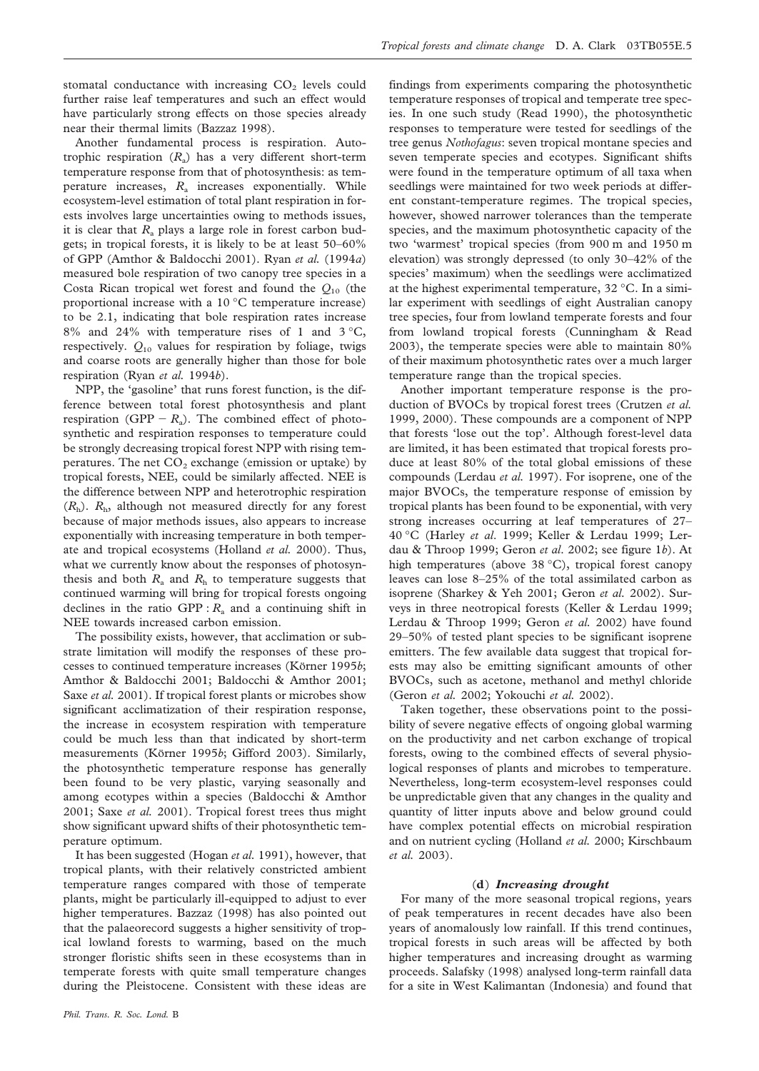stomatal conductance with increasing  $CO<sub>2</sub>$  levels could further raise leaf temperatures and such an effect would have particularly strong effects on those species already near their thermal limits (Bazzaz 1998).

Another fundamental process is respiration. Autotrophic respiration  $(R_a)$  has a very different short-term temperature response from that of photosynthesis: as temperature increases, *R*<sup>a</sup> increases exponentially. While ecosystem-level estimation of total plant respiration in forests involves large uncertainties owing to methods issues, it is clear that  $R_a$  plays a large role in forest carbon budgets; in tropical forests, it is likely to be at least 50–60% of GPP (Amthor & Baldocchi 2001). Ryan *et al.* (1994*a*) measured bole respiration of two canopy tree species in a Costa Rican tropical wet forest and found the *Q*<sup>10</sup> (the proportional increase with a 10 °C temperature increase) to be 2.1, indicating that bole respiration rates increase  $8\%$  and  $24\%$  with temperature rises of 1 and  $3\,^{\circ}\text{C}$ , respectively.  $Q_{10}$  values for respiration by foliage, twigs and coarse roots are generally higher than those for bole respiration (Ryan *et al.* 1994*b*).

NPP, the 'gasoline' that runs forest function, is the difference between total forest photosynthesis and plant respiration (GPP  $-R_a$ ). The combined effect of photosynthetic and respiration responses to temperature could be strongly decreasing tropical forest NPP with rising temperatures. The net  $CO<sub>2</sub>$  exchange (emission or uptake) by tropical forests, NEE, could be similarly affected. NEE is the difference between NPP and heterotrophic respiration  $(R<sub>h</sub>)$ .  $R<sub>h</sub>$ , although not measured directly for any forest because of major methods issues, also appears to increase exponentially with increasing temperature in both temperate and tropical ecosystems (Holland *et al.* 2000). Thus, what we currently know about the responses of photosynthesis and both  $R_a$  and  $R_h$  to temperature suggests that continued warming will bring for tropical forests ongoing declines in the ratio GPP :  $R_a$  and a continuing shift in NEE towards increased carbon emission.

The possibility exists, however, that acclimation or substrate limitation will modify the responses of these processes to continued temperature increases (Körner 1995*b*; Amthor & Baldocchi 2001; Baldocchi & Amthor 2001; Saxe *et al.* 2001). If tropical forest plants or microbes show significant acclimatization of their respiration response, the increase in ecosystem respiration with temperature could be much less than that indicated by short-term measurements (Körner 1995*b*; Gifford 2003). Similarly, the photosynthetic temperature response has generally been found to be very plastic, varying seasonally and among ecotypes within a species (Baldocchi & Amthor 2001; Saxe *et al.* 2001). Tropical forest trees thus might show significant upward shifts of their photosynthetic temperature optimum.

It has been suggested (Hogan *et al.* 1991), however, that tropical plants, with their relatively constricted ambient temperature ranges compared with those of temperate plants, might be particularly ill-equipped to adjust to ever higher temperatures. Bazzaz (1998) has also pointed out that the palaeorecord suggests a higher sensitivity of tropical lowland forests to warming, based on the much stronger floristic shifts seen in these ecosystems than in temperate forests with quite small temperature changes during the Pleistocene. Consistent with these ideas are

*Phil. Trans. R. Soc. Lond.* B

findings from experiments comparing the photosynthetic temperature responses of tropical and temperate tree species. In one such study (Read 1990), the photosynthetic responses to temperature were tested for seedlings of the tree genus *Nothofagus*: seven tropical montane species and seven temperate species and ecotypes. Significant shifts were found in the temperature optimum of all taxa when seedlings were maintained for two week periods at different constant-temperature regimes. The tropical species, however, showed narrower tolerances than the temperate species, and the maximum photosynthetic capacity of the two 'warmest' tropical species (from 900 m and 1950 m elevation) was strongly depressed (to only 30–42% of the species' maximum) when the seedlings were acclimatized at the highest experimental temperature, 32 °C. In a similar experiment with seedlings of eight Australian canopy tree species, four from lowland temperate forests and four from lowland tropical forests (Cunningham & Read 2003), the temperate species were able to maintain 80% of their maximum photosynthetic rates over a much larger temperature range than the tropical species.

Another important temperature response is the production of BVOCs by tropical forest trees (Crutzen *et al.* 1999, 2000). These compounds are a component of NPP that forests 'lose out the top'. Although forest-level data are limited, it has been estimated that tropical forests produce at least 80% of the total global emissions of these compounds (Lerdau *et al.* 1997). For isoprene, one of the major BVOCs, the temperature response of emission by tropical plants has been found to be exponential, with very strong increases occurring at leaf temperatures of 27– 40 °C (Harley *et al*. 1999; Keller & Lerdau 1999; Lerdau & Throop 1999; Geron *et al*. 2002; see figure 1*b*). At high temperatures (above 38 °C), tropical forest canopy leaves can lose 8–25% of the total assimilated carbon as isoprene (Sharkey & Yeh 2001; Geron *et al.* 2002). Surveys in three neotropical forests (Keller & Lerdau 1999; Lerdau & Throop 1999; Geron *et al.* 2002) have found 29–50% of tested plant species to be significant isoprene emitters. The few available data suggest that tropical forests may also be emitting significant amounts of other BVOCs, such as acetone, methanol and methyl chloride (Geron *et al.* 2002; Yokouchi *et al.* 2002).

Taken together, these observations point to the possibility of severe negative effects of ongoing global warming on the productivity and net carbon exchange of tropical forests, owing to the combined effects of several physiological responses of plants and microbes to temperature. Nevertheless, long-term ecosystem-level responses could be unpredictable given that any changes in the quality and quantity of litter inputs above and below ground could have complex potential effects on microbial respiration and on nutrient cycling (Holland *et al.* 2000; Kirschbaum *et al.* 2003).

#### (**d**) *Increasing drought*

For many of the more seasonal tropical regions, years of peak temperatures in recent decades have also been years of anomalously low rainfall. If this trend continues, tropical forests in such areas will be affected by both higher temperatures and increasing drought as warming proceeds. Salafsky (1998) analysed long-term rainfall data for a site in West Kalimantan (Indonesia) and found that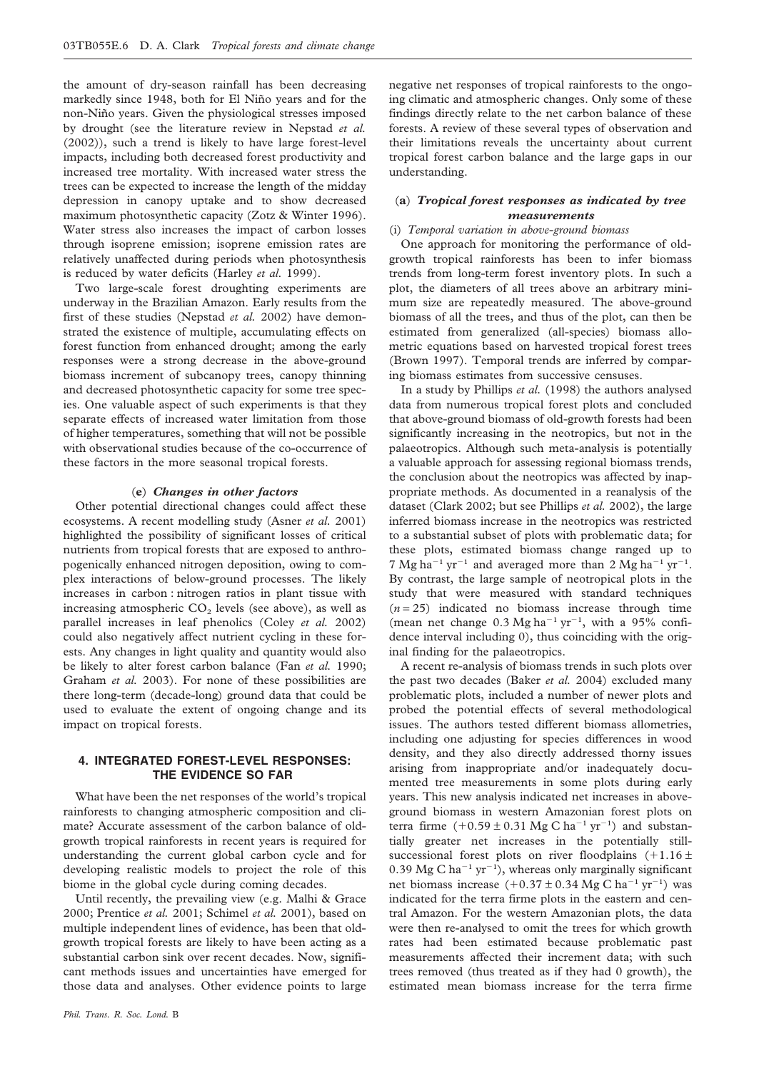the amount of dry-season rainfall has been decreasing markedly since 1948, both for El Niño years and for the non-Niño years. Given the physiological stresses imposed by drought (see the literature review in Nepstad *et al.* (2002)), such a trend is likely to have large forest-level impacts, including both decreased forest productivity and increased tree mortality. With increased water stress the trees can be expected to increase the length of the midday depression in canopy uptake and to show decreased maximum photosynthetic capacity (Zotz & Winter 1996). Water stress also increases the impact of carbon losses through isoprene emission; isoprene emission rates are relatively unaffected during periods when photosynthesis is reduced by water deficits (Harley *et al.* 1999).

Two large-scale forest droughting experiments are underway in the Brazilian Amazon. Early results from the first of these studies (Nepstad *et al.* 2002) have demonstrated the existence of multiple, accumulating effects on forest function from enhanced drought; among the early responses were a strong decrease in the above-ground biomass increment of subcanopy trees, canopy thinning and decreased photosynthetic capacity for some tree species. One valuable aspect of such experiments is that they separate effects of increased water limitation from those of higher temperatures, something that will not be possible with observational studies because of the co-occurrence of these factors in the more seasonal tropical forests.

#### (**e**) *Changes in other factors*

Other potential directional changes could affect these ecosystems. A recent modelling study (Asner *et al.* 2001) highlighted the possibility of significant losses of critical nutrients from tropical forests that are exposed to anthropogenically enhanced nitrogen deposition, owing to complex interactions of below-ground processes. The likely increases in carbon : nitrogen ratios in plant tissue with increasing atmospheric  $CO<sub>2</sub>$  levels (see above), as well as parallel increases in leaf phenolics (Coley *et al.* 2002) could also negatively affect nutrient cycling in these forests. Any changes in light quality and quantity would also be likely to alter forest carbon balance (Fan *et al.* 1990; Graham *et al.* 2003). For none of these possibilities are there long-term (decade-long) ground data that could be used to evaluate the extent of ongoing change and its impact on tropical forests.

## **4. INTEGRATED FOREST-LEVEL RESPONSES: THE EVIDENCE SO FAR**

What have been the net responses of the world's tropical rainforests to changing atmospheric composition and climate? Accurate assessment of the carbon balance of oldgrowth tropical rainforests in recent years is required for understanding the current global carbon cycle and for developing realistic models to project the role of this biome in the global cycle during coming decades.

Until recently, the prevailing view (e.g. Malhi & Grace 2000; Prentice *et al.* 2001; Schimel *et al.* 2001), based on multiple independent lines of evidence, has been that oldgrowth tropical forests are likely to have been acting as a substantial carbon sink over recent decades. Now, significant methods issues and uncertainties have emerged for those data and analyses. Other evidence points to large

negative net responses of tropical rainforests to the ongoing climatic and atmospheric changes. Only some of these findings directly relate to the net carbon balance of these forests. A review of these several types of observation and their limitations reveals the uncertainty about current tropical forest carbon balance and the large gaps in our understanding.

## (**a**) *Tropical forest responses as indicated by tree measurements*

## (i) *Temporal variation in above-ground biomass*

One approach for monitoring the performance of oldgrowth tropical rainforests has been to infer biomass trends from long-term forest inventory plots. In such a plot, the diameters of all trees above an arbitrary minimum size are repeatedly measured. The above-ground biomass of all the trees, and thus of the plot, can then be estimated from generalized (all-species) biomass allometric equations based on harvested tropical forest trees (Brown 1997). Temporal trends are inferred by comparing biomass estimates from successive censuses.

In a study by Phillips *et al.* (1998) the authors analysed data from numerous tropical forest plots and concluded that above-ground biomass of old-growth forests had been significantly increasing in the neotropics, but not in the palaeotropics. Although such meta-analysis is potentially a valuable approach for assessing regional biomass trends, the conclusion about the neotropics was affected by inappropriate methods. As documented in a reanalysis of the dataset (Clark 2002; but see Phillips *et al.* 2002), the large inferred biomass increase in the neotropics was restricted to a substantial subset of plots with problematic data; for these plots, estimated biomass change ranged up to 7 Mg ha<sup>-1</sup> yr<sup>-1</sup> and averaged more than 2 Mg ha<sup>-1</sup> yr<sup>-1</sup>. By contrast, the large sample of neotropical plots in the study that were measured with standard techniques  $(n=25)$  indicated no biomass increase through time (mean net change  $0.3 \text{ Mg ha}^{-1} \text{ yr}^{-1}$ , with a 95% confidence interval including 0), thus coinciding with the original finding for the palaeotropics.

A recent re-analysis of biomass trends in such plots over the past two decades (Baker *et al.* 2004) excluded many problematic plots, included a number of newer plots and probed the potential effects of several methodological issues. The authors tested different biomass allometries, including one adjusting for species differences in wood density, and they also directly addressed thorny issues arising from inappropriate and/or inadequately documented tree measurements in some plots during early years. This new analysis indicated net increases in aboveground biomass in western Amazonian forest plots on terra firme  $(+0.59 \pm 0.31 \text{ Mg C ha}^{-1} \text{ yr}^{-1})$  and substantially greater net increases in the potentially stillsuccessional forest plots on river floodplains  $(+1.16 \pm$ 0.39 Mg C ha<sup>-1</sup> yr<sup>-1</sup>), whereas only marginally significant net biomass increase  $(+0.37 \pm 0.34 \text{ Mg C ha}^{-1} \text{ yr}^{-1})$  was indicated for the terra firme plots in the eastern and central Amazon. For the western Amazonian plots, the data were then re-analysed to omit the trees for which growth rates had been estimated because problematic past measurements affected their increment data; with such trees removed (thus treated as if they had 0 growth), the estimated mean biomass increase for the terra firme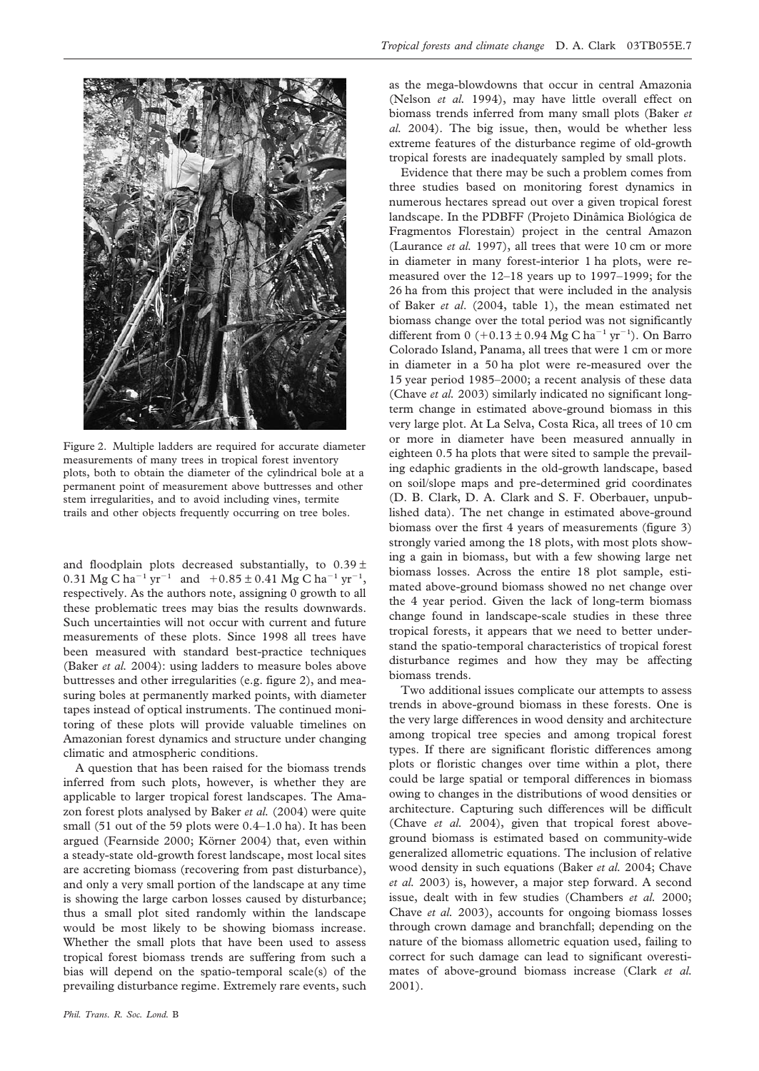

Figure 2. Multiple ladders are required for accurate diameter measurements of many trees in tropical forest inventory plots, both to obtain the diameter of the cylindrical bole at a permanent point of measurement above buttresses and other stem irregularities, and to avoid including vines, termite trails and other objects frequently occurring on tree boles.

and floodplain plots decreased substantially, to  $0.39 \pm$ 0.31 Mg C ha<sup>-1</sup> yr<sup>-1</sup> and  $+0.85 \pm 0.41$  Mg C ha<sup>-1</sup> yr<sup>-1</sup>, respectively. As the authors note, assigning 0 growth to all these problematic trees may bias the results downwards. Such uncertainties will not occur with current and future measurements of these plots. Since 1998 all trees have been measured with standard best-practice techniques (Baker *et al.* 2004): using ladders to measure boles above buttresses and other irregularities (e.g. figure 2), and measuring boles at permanently marked points, with diameter tapes instead of optical instruments. The continued monitoring of these plots will provide valuable timelines on Amazonian forest dynamics and structure under changing climatic and atmospheric conditions.

A question that has been raised for the biomass trends inferred from such plots, however, is whether they are applicable to larger tropical forest landscapes. The Amazon forest plots analysed by Baker *et al.* (2004) were quite small (51 out of the 59 plots were 0.4–1.0 ha). It has been argued (Fearnside 2000; Körner 2004) that, even within a steady-state old-growth forest landscape, most local sites are accreting biomass (recovering from past disturbance), and only a very small portion of the landscape at any time is showing the large carbon losses caused by disturbance; thus a small plot sited randomly within the landscape would be most likely to be showing biomass increase. Whether the small plots that have been used to assess tropical forest biomass trends are suffering from such a bias will depend on the spatio-temporal scale(s) of the prevailing disturbance regime. Extremely rare events, such

as the mega-blowdowns that occur in central Amazonia (Nelson *et al.* 1994), may have little overall effect on biomass trends inferred from many small plots (Baker *et al.* 2004). The big issue, then, would be whether less extreme features of the disturbance regime of old-growth tropical forests are inadequately sampled by small plots.

Evidence that there may be such a problem comes from three studies based on monitoring forest dynamics in numerous hectares spread out over a given tropical forest landscape. In the PDBFF (Projeto Dinâmica Biológica de Fragmentos Florestain) project in the central Amazon (Laurance *et al.* 1997), all trees that were 10 cm or more in diameter in many forest-interior 1 ha plots, were remeasured over the 12–18 years up to 1997–1999; for the 26 ha from this project that were included in the analysis of Baker *et al*. (2004, table 1), the mean estimated net biomass change over the total period was not significantly different from  $0 (+0.13 \pm 0.94 \text{ Mg C ha}^{-1} \text{ yr}^{-1})$ . On Barro Colorado Island, Panama, all trees that were 1 cm or more in diameter in a 50 ha plot were re-measured over the 15 year period 1985–2000; a recent analysis of these data (Chave *et al.* 2003) similarly indicated no significant longterm change in estimated above-ground biomass in this very large plot. At La Selva, Costa Rica, all trees of 10 cm or more in diameter have been measured annually in eighteen 0.5 ha plots that were sited to sample the prevailing edaphic gradients in the old-growth landscape, based on soil/slope maps and pre-determined grid coordinates (D. B. Clark, D. A. Clark and S. F. Oberbauer, unpublished data). The net change in estimated above-ground biomass over the first 4 years of measurements (figure 3) strongly varied among the 18 plots, with most plots showing a gain in biomass, but with a few showing large net biomass losses. Across the entire 18 plot sample, estimated above-ground biomass showed no net change over the 4 year period. Given the lack of long-term biomass change found in landscape-scale studies in these three tropical forests, it appears that we need to better understand the spatio-temporal characteristics of tropical forest disturbance regimes and how they may be affecting biomass trends.

Two additional issues complicate our attempts to assess trends in above-ground biomass in these forests. One is the very large differences in wood density and architecture among tropical tree species and among tropical forest types. If there are significant floristic differences among plots or floristic changes over time within a plot, there could be large spatial or temporal differences in biomass owing to changes in the distributions of wood densities or architecture. Capturing such differences will be difficult (Chave *et al.* 2004), given that tropical forest aboveground biomass is estimated based on community-wide generalized allometric equations. The inclusion of relative wood density in such equations (Baker *et al.* 2004; Chave *et al.* 2003) is, however, a major step forward. A second issue, dealt with in few studies (Chambers *et al.* 2000; Chave *et al.* 2003), accounts for ongoing biomass losses through crown damage and branchfall; depending on the nature of the biomass allometric equation used, failing to correct for such damage can lead to significant overestimates of above-ground biomass increase (Clark *et al.* 2001).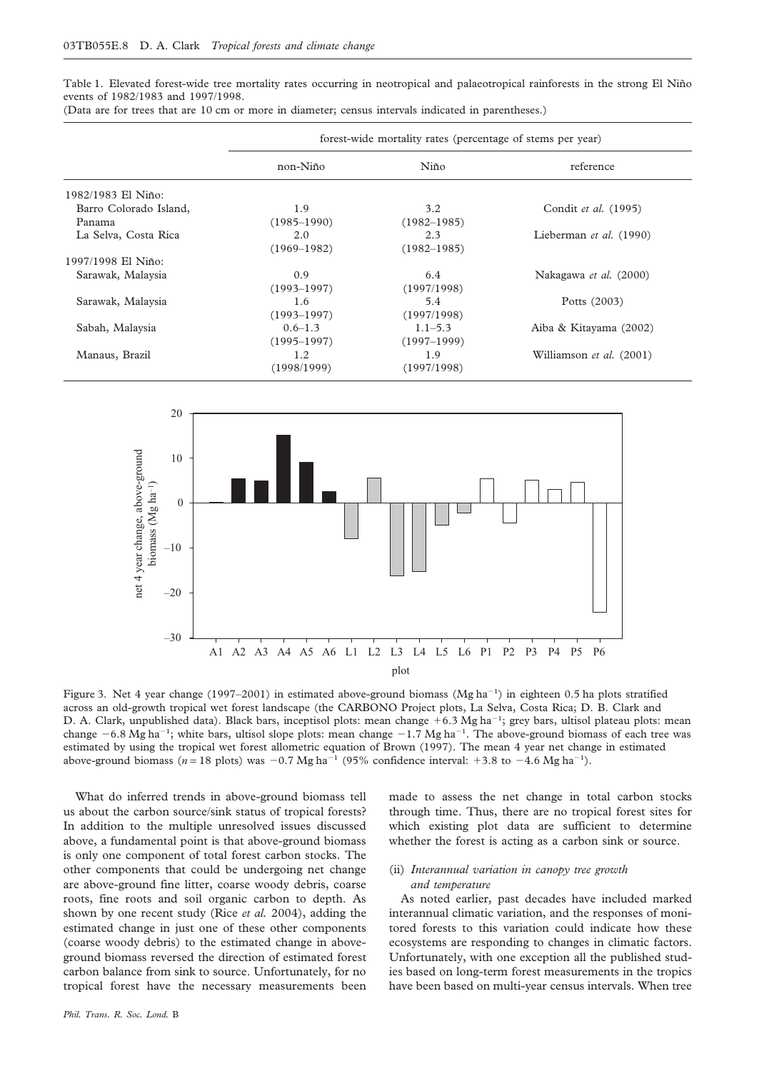Table 1. Elevated forest-wide tree mortality rates occurring in neotropical and palaeotropical rainforests in the strong El Niño events of 1982/1983 and 1997/1998.

|                        | forest-wide mortality rates (percentage of stems per year) |                 |                          |
|------------------------|------------------------------------------------------------|-----------------|--------------------------|
|                        | non-Niño                                                   | Niño            | reference                |
| 1982/1983 El Niño:     |                                                            |                 |                          |
| Barro Colorado Island, | 1.9                                                        | 3.2             | Condit et al. (1995)     |
| Panama                 | $(1985 - 1990)$                                            | $(1982 - 1985)$ |                          |
| La Selva, Costa Rica   | 2.0                                                        | 2.3             | Lieberman et al. (1990)  |
|                        | $(1969 - 1982)$                                            | $(1982 - 1985)$ |                          |
| 1997/1998 El Niño:     |                                                            |                 |                          |
| Sarawak, Malaysia      | 0.9                                                        | 6.4             | Nakagawa et al. (2000)   |
|                        | $(1993 - 1997)$                                            | (1997/1998)     |                          |
| Sarawak, Malaysia      | 1.6                                                        | 5.4             | Potts (2003)             |
|                        | $(1993 - 1997)$                                            | (1997/1998)     |                          |
| Sabah, Malaysia        | $0.6 - 1.3$                                                | $1.1 - 5.3$     | Aiba & Kitayama (2002)   |
|                        | $(1995 - 1997)$                                            | $(1997 - 1999)$ |                          |
| Manaus, Brazil         | 1.2                                                        | 1.9             | Williamson et al. (2001) |
|                        | (1998/1999)                                                | (1997/1998)     |                          |

(Data are for trees that are 10 cm or more in diameter; census intervals indicated in parentheses.)



Figure 3. Net 4 year change (1997–2001) in estimated above-ground biomass (Mg ha<sup>-1</sup>) in eighteen 0.5 ha plots stratified across an old-growth tropical wet forest landscape (the CARBONO Project plots, La Selva, Costa Rica; D. B. Clark and D. A. Clark, unpublished data). Black bars, inceptisol plots: mean change +6.3 Mg ha<sup>-1</sup>; grey bars, ultisol plateau plots: mean change  $-6.8$  Mg ha<sup>-1</sup>; white bars, ultisol slope plots: mean change  $-1.7$  Mg ha<sup>-1</sup>. The above-ground biomass of each tree was estimated by using the tropical wet forest allometric equation of Brown (1997). The mean 4 year net change in estimated above-ground biomass  $(n = 18 \text{ plots})$  was  $-0.7 \text{ Mg ha}^{-1}$  (95% confidence interval: +3.8 to  $-4.6 \text{ Mg ha}^{-1}$ ).

What do inferred trends in above-ground biomass tell us about the carbon source/sink status of tropical forests? In addition to the multiple unresolved issues discussed above, a fundamental point is that above-ground biomass is only one component of total forest carbon stocks. The other components that could be undergoing net change are above-ground fine litter, coarse woody debris, coarse roots, fine roots and soil organic carbon to depth. As shown by one recent study (Rice *et al.* 2004), adding the estimated change in just one of these other components (coarse woody debris) to the estimated change in aboveground biomass reversed the direction of estimated forest carbon balance from sink to source. Unfortunately, for no tropical forest have the necessary measurements been

*Phil. Trans. R. Soc. Lond.* B

made to assess the net change in total carbon stocks through time. Thus, there are no tropical forest sites for which existing plot data are sufficient to determine whether the forest is acting as a carbon sink or source.

## (ii) *Interannual variation in canopy tree growth and temperature*

As noted earlier, past decades have included marked interannual climatic variation, and the responses of monitored forests to this variation could indicate how these ecosystems are responding to changes in climatic factors. Unfortunately, with one exception all the published studies based on long-term forest measurements in the tropics have been based on multi-year census intervals. When tree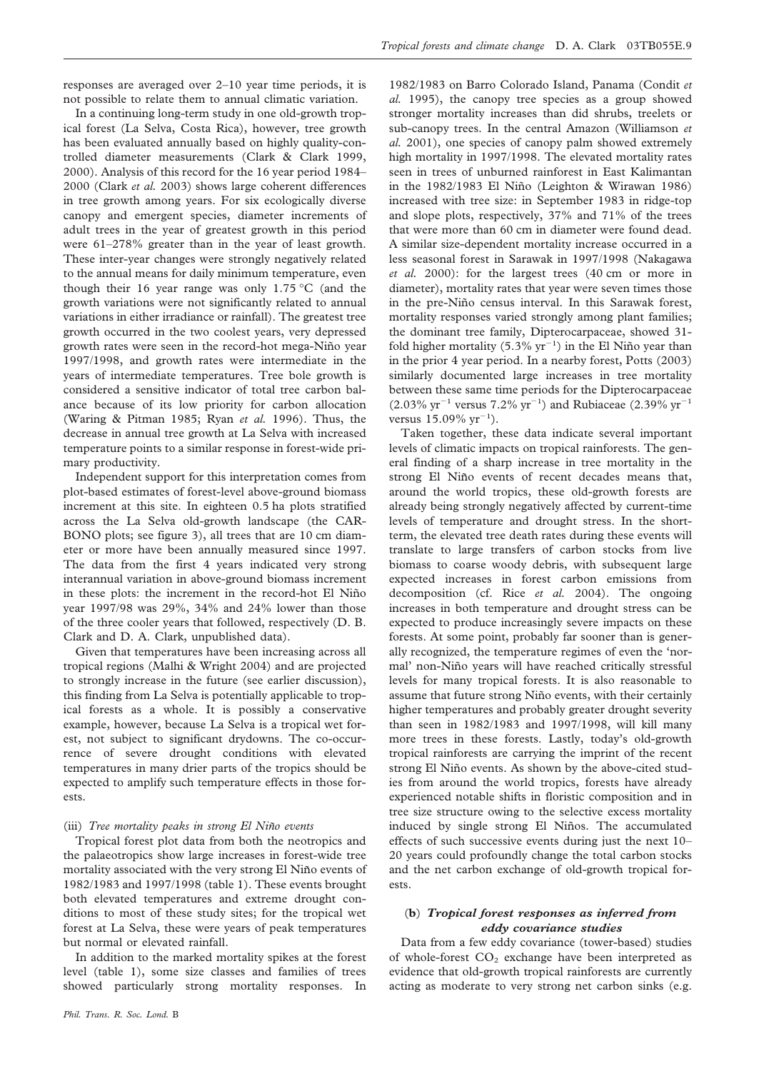responses are averaged over 2–10 year time periods, it is not possible to relate them to annual climatic variation.

In a continuing long-term study in one old-growth tropical forest (La Selva, Costa Rica), however, tree growth has been evaluated annually based on highly quality-controlled diameter measurements (Clark & Clark 1999, 2000). Analysis of this record for the 16 year period 1984– 2000 (Clark *et al.* 2003) shows large coherent differences in tree growth among years. For six ecologically diverse canopy and emergent species, diameter increments of adult trees in the year of greatest growth in this period were 61–278% greater than in the year of least growth. These inter-year changes were strongly negatively related to the annual means for daily minimum temperature, even though their 16 year range was only 1.75 °C (and the growth variations were not significantly related to annual variations in either irradiance or rainfall). The greatest tree growth occurred in the two coolest years, very depressed growth rates were seen in the record-hot mega-Niño year 1997/1998, and growth rates were intermediate in the years of intermediate temperatures. Tree bole growth is considered a sensitive indicator of total tree carbon balance because of its low priority for carbon allocation (Waring & Pitman 1985; Ryan *et al.* 1996). Thus, the decrease in annual tree growth at La Selva with increased temperature points to a similar response in forest-wide primary productivity.

Independent support for this interpretation comes from plot-based estimates of forest-level above-ground biomass increment at this site. In eighteen 0.5 ha plots stratified across the La Selva old-growth landscape (the CAR-BONO plots; see figure 3), all trees that are 10 cm diameter or more have been annually measured since 1997. The data from the first 4 years indicated very strong interannual variation in above-ground biomass increment in these plots: the increment in the record-hot El Niño year 1997/98 was 29%, 34% and 24% lower than those of the three cooler years that followed, respectively (D. B. Clark and D. A. Clark, unpublished data).

Given that temperatures have been increasing across all tropical regions (Malhi & Wright 2004) and are projected to strongly increase in the future (see earlier discussion), this finding from La Selva is potentially applicable to tropical forests as a whole. It is possibly a conservative example, however, because La Selva is a tropical wet forest, not subject to significant drydowns. The co-occurrence of severe drought conditions with elevated temperatures in many drier parts of the tropics should be expected to amplify such temperature effects in those forests.

#### (iii) *Tree mortality peaks in strong El Niño events*

Tropical forest plot data from both the neotropics and the palaeotropics show large increases in forest-wide tree mortality associated with the very strong El Niño events of 1982/1983 and 1997/1998 (table 1). These events brought both elevated temperatures and extreme drought conditions to most of these study sites; for the tropical wet forest at La Selva, these were years of peak temperatures but normal or elevated rainfall.

In addition to the marked mortality spikes at the forest level (table 1), some size classes and families of trees showed particularly strong mortality responses. In

1982/1983 on Barro Colorado Island, Panama (Condit *et al.* 1995), the canopy tree species as a group showed stronger mortality increases than did shrubs, treelets or sub-canopy trees. In the central Amazon (Williamson *et al.* 2001), one species of canopy palm showed extremely high mortality in 1997/1998. The elevated mortality rates seen in trees of unburned rainforest in East Kalimantan in the  $1982/1983$  El Niño (Leighton & Wirawan 1986) increased with tree size: in September 1983 in ridge-top and slope plots, respectively, 37% and 71% of the trees that were more than 60 cm in diameter were found dead. A similar size-dependent mortality increase occurred in a less seasonal forest in Sarawak in 1997/1998 (Nakagawa *et al.* 2000): for the largest trees (40 cm or more in diameter), mortality rates that year were seven times those in the pre-Niño census interval. In this Sarawak forest, mortality responses varied strongly among plant families; the dominant tree family, Dipterocarpaceae, showed 31 fold higher mortality  $(5.3\% \text{ yr}^{-1})$  in the El Niño year than in the prior 4 year period. In a nearby forest, Potts (2003) similarly documented large increases in tree mortality between these same time periods for the Dipterocarpaceae  $(2.03\% \text{ yr}^{-1} \text{ versus } 7.2\% \text{ yr}^{-1})$  and Rubiaceae  $(2.39\% \text{ yr}^{-1})$ versus  $15.09\% \text{ yr}^{-1}$ ).

Taken together, these data indicate several important levels of climatic impacts on tropical rainforests. The general finding of a sharp increase in tree mortality in the strong El Niño events of recent decades means that, around the world tropics, these old-growth forests are already being strongly negatively affected by current-time levels of temperature and drought stress. In the shortterm, the elevated tree death rates during these events will translate to large transfers of carbon stocks from live biomass to coarse woody debris, with subsequent large expected increases in forest carbon emissions from decomposition (cf. Rice *et al.* 2004). The ongoing increases in both temperature and drought stress can be expected to produce increasingly severe impacts on these forests. At some point, probably far sooner than is generally recognized, the temperature regimes of even the 'normal' non-Niño years will have reached critically stressful levels for many tropical forests. It is also reasonable to assume that future strong Niño events, with their certainly higher temperatures and probably greater drought severity than seen in 1982/1983 and 1997/1998, will kill many more trees in these forests. Lastly, today's old-growth tropical rainforests are carrying the imprint of the recent strong El Niño events. As shown by the above-cited studies from around the world tropics, forests have already experienced notable shifts in floristic composition and in tree size structure owing to the selective excess mortality induced by single strong El Niños. The accumulated effects of such successive events during just the next 10– 20 years could profoundly change the total carbon stocks and the net carbon exchange of old-growth tropical forests.

## (**b**) *Tropical forest responses as inferred from eddy covariance studies*

Data from a few eddy covariance (tower-based) studies of whole-forest  $CO<sub>2</sub>$  exchange have been interpreted as evidence that old-growth tropical rainforests are currently acting as moderate to very strong net carbon sinks (e.g.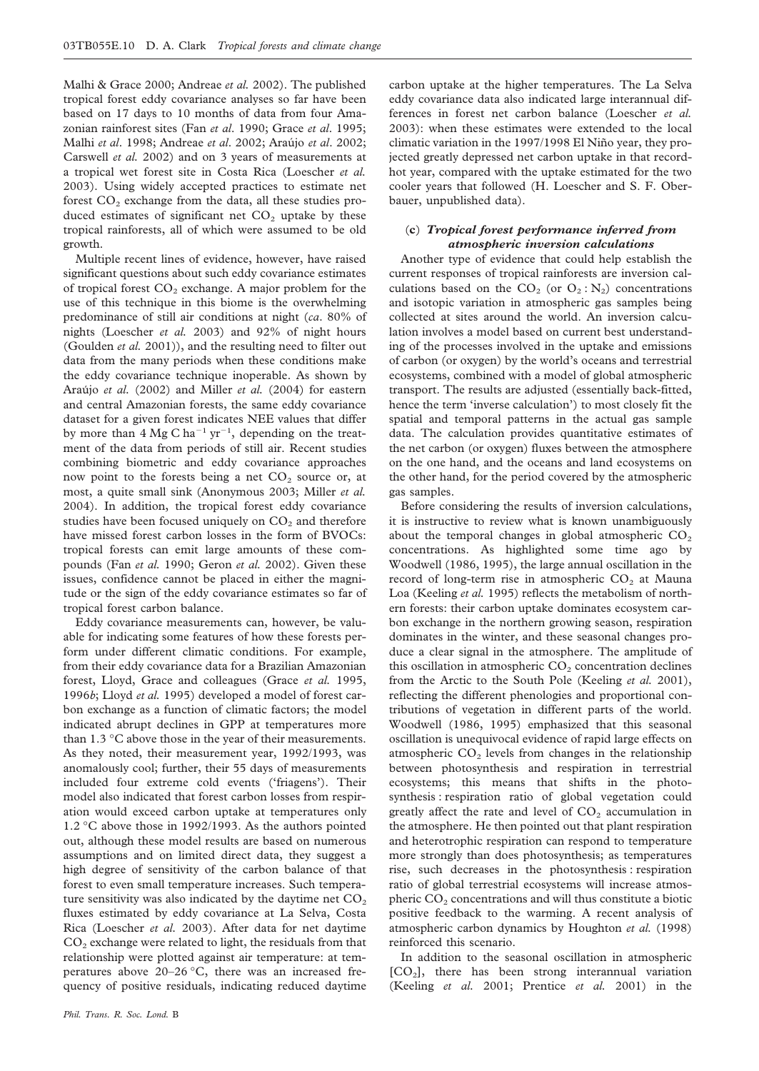Malhi & Grace 2000; Andreae *et al.* 2002). The published tropical forest eddy covariance analyses so far have been based on 17 days to 10 months of data from four Amazonian rainforest sites (Fan *et al*. 1990; Grace *et al*. 1995; Malhi *et al*. 1998; Andreae *et al*. 2002; Arau´jo *et al*. 2002; Carswell *et al.* 2002) and on 3 years of measurements at a tropical wet forest site in Costa Rica (Loescher *et al.* 2003). Using widely accepted practices to estimate net forest  $CO<sub>2</sub>$  exchange from the data, all these studies produced estimates of significant net  $CO<sub>2</sub>$  uptake by these tropical rainforests, all of which were assumed to be old growth.

Multiple recent lines of evidence, however, have raised significant questions about such eddy covariance estimates of tropical forest  $CO<sub>2</sub>$  exchange. A major problem for the use of this technique in this biome is the overwhelming predominance of still air conditions at night (*ca*. 80% of nights (Loescher *et al.* 2003) and 92% of night hours (Goulden *et al.* 2001)), and the resulting need to filter out data from the many periods when these conditions make the eddy covariance technique inoperable. As shown by Arau´jo *et al.* (2002) and Miller *et al.* (2004) for eastern and central Amazonian forests, the same eddy covariance dataset for a given forest indicates NEE values that differ by more than  $4 \text{ Mg C} \text{ ha}^{-1} \text{ yr}^{-1}$ , depending on the treatment of the data from periods of still air. Recent studies combining biometric and eddy covariance approaches now point to the forests being a net  $CO<sub>2</sub>$  source or, at most, a quite small sink (Anonymous 2003; Miller *et al.* 2004). In addition, the tropical forest eddy covariance studies have been focused uniquely on  $CO<sub>2</sub>$  and therefore have missed forest carbon losses in the form of BVOCs: tropical forests can emit large amounts of these compounds (Fan *et al.* 1990; Geron *et al.* 2002). Given these issues, confidence cannot be placed in either the magnitude or the sign of the eddy covariance estimates so far of tropical forest carbon balance.

Eddy covariance measurements can, however, be valuable for indicating some features of how these forests perform under different climatic conditions. For example, from their eddy covariance data for a Brazilian Amazonian forest, Lloyd, Grace and colleagues (Grace *et al.* 1995, 1996*b*; Lloyd *et al.* 1995) developed a model of forest carbon exchange as a function of climatic factors; the model indicated abrupt declines in GPP at temperatures more than 1.3 °C above those in the year of their measurements. As they noted, their measurement year, 1992/1993, was anomalously cool; further, their 55 days of measurements included four extreme cold events ('friagens'). Their model also indicated that forest carbon losses from respiration would exceed carbon uptake at temperatures only 1.2 °C above those in 1992/1993. As the authors pointed out, although these model results are based on numerous assumptions and on limited direct data, they suggest a high degree of sensitivity of the carbon balance of that forest to even small temperature increases. Such temperature sensitivity was also indicated by the daytime net  $CO<sub>2</sub>$ fluxes estimated by eddy covariance at La Selva, Costa Rica (Loescher *et al.* 2003). After data for net daytime  $CO<sub>2</sub>$  exchange were related to light, the residuals from that relationship were plotted against air temperature: at temperatures above 20–26 °C, there was an increased frequency of positive residuals, indicating reduced daytime

carbon uptake at the higher temperatures. The La Selva eddy covariance data also indicated large interannual differences in forest net carbon balance (Loescher *et al.* 2003): when these estimates were extended to the local climatic variation in the 1997/1998 El Niño year, they projected greatly depressed net carbon uptake in that recordhot year, compared with the uptake estimated for the two cooler years that followed (H. Loescher and S. F. Oberbauer, unpublished data).

## (**c**) *Tropical forest performance inferred from atmospheric inversion calculations*

Another type of evidence that could help establish the current responses of tropical rainforests are inversion calculations based on the  $CO_2$  (or  $O_2$ : N<sub>2</sub>) concentrations and isotopic variation in atmospheric gas samples being collected at sites around the world. An inversion calculation involves a model based on current best understanding of the processes involved in the uptake and emissions of carbon (or oxygen) by the world's oceans and terrestrial ecosystems, combined with a model of global atmospheric transport. The results are adjusted (essentially back-fitted, hence the term 'inverse calculation') to most closely fit the spatial and temporal patterns in the actual gas sample data. The calculation provides quantitative estimates of the net carbon (or oxygen) fluxes between the atmosphere on the one hand, and the oceans and land ecosystems on the other hand, for the period covered by the atmospheric gas samples.

Before considering the results of inversion calculations, it is instructive to review what is known unambiguously about the temporal changes in global atmospheric  $CO<sub>2</sub>$ concentrations. As highlighted some time ago by Woodwell (1986, 1995), the large annual oscillation in the record of long-term rise in atmospheric  $CO<sub>2</sub>$  at Mauna Loa (Keeling *et al.* 1995) reflects the metabolism of northern forests: their carbon uptake dominates ecosystem carbon exchange in the northern growing season, respiration dominates in the winter, and these seasonal changes produce a clear signal in the atmosphere. The amplitude of this oscillation in atmospheric  $CO<sub>2</sub>$  concentration declines from the Arctic to the South Pole (Keeling *et al.* 2001), reflecting the different phenologies and proportional contributions of vegetation in different parts of the world. Woodwell (1986, 1995) emphasized that this seasonal oscillation is unequivocal evidence of rapid large effects on atmospheric  $CO<sub>2</sub>$  levels from changes in the relationship between photosynthesis and respiration in terrestrial ecosystems; this means that shifts in the photosynthesis : respiration ratio of global vegetation could greatly affect the rate and level of  $CO<sub>2</sub>$  accumulation in the atmosphere. He then pointed out that plant respiration and heterotrophic respiration can respond to temperature more strongly than does photosynthesis; as temperatures rise, such decreases in the photosynthesis : respiration ratio of global terrestrial ecosystems will increase atmospheric  $CO<sub>2</sub>$  concentrations and will thus constitute a biotic positive feedback to the warming. A recent analysis of atmospheric carbon dynamics by Houghton *et al.* (1998) reinforced this scenario.

In addition to the seasonal oscillation in atmospheric [CO2], there has been strong interannual variation (Keeling *et al.* 2001; Prentice *et al.* 2001) in the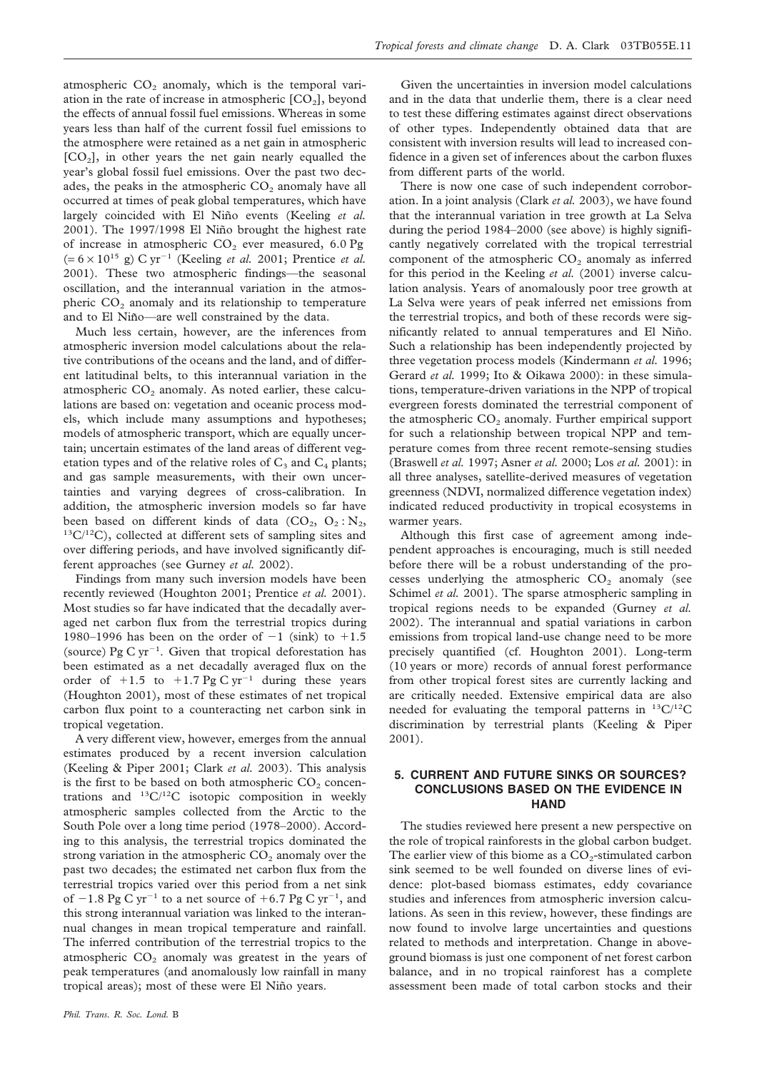atmospheric  $CO<sub>2</sub>$  anomaly, which is the temporal variation in the rate of increase in atmospheric  $[CO_2]$ , beyond the effects of annual fossil fuel emissions. Whereas in some years less than half of the current fossil fuel emissions to the atmosphere were retained as a net gain in atmospheric  $[CO<sub>2</sub>]$ , in other years the net gain nearly equalled the year's global fossil fuel emissions. Over the past two decades, the peaks in the atmospheric  $CO<sub>2</sub>$  anomaly have all occurred at times of peak global temperatures, which have largely coincided with El Niño events (Keeling et al. 2001). The 1997/1998 El Niño brought the highest rate of increase in atmospheric  $CO<sub>2</sub>$  ever measured, 6.0 Pg  $(= 6 \times 10^{15} \text{ g}) \text{ C yr}^{-1}$  (Keeling *et al.* 2001; Prentice *et al.* 2001). These two atmospheric findings—the seasonal oscillation, and the interannual variation in the atmospheric  $CO<sub>2</sub>$  anomaly and its relationship to temperature and to El Niño-are well constrained by the data.

Much less certain, however, are the inferences from atmospheric inversion model calculations about the relative contributions of the oceans and the land, and of different latitudinal belts, to this interannual variation in the atmospheric  $CO<sub>2</sub>$  anomaly. As noted earlier, these calculations are based on: vegetation and oceanic process models, which include many assumptions and hypotheses; models of atmospheric transport, which are equally uncertain; uncertain estimates of the land areas of different vegetation types and of the relative roles of  $C_3$  and  $C_4$  plants; and gas sample measurements, with their own uncertainties and varying degrees of cross-calibration. In addition, the atmospheric inversion models so far have been based on different kinds of data  $(CO_2, O_2 : N_2,$  $13C/12C$ , collected at different sets of sampling sites and over differing periods, and have involved significantly different approaches (see Gurney *et al.* 2002).

Findings from many such inversion models have been recently reviewed (Houghton 2001; Prentice *et al.* 2001). Most studies so far have indicated that the decadally averaged net carbon flux from the terrestrial tropics during 1980–1996 has been on the order of  $-1$  (sink) to  $+1.5$ (source) Pg C yr<sup>-1</sup>. Given that tropical deforestation has been estimated as a net decadally averaged flux on the order of  $+1.5$  to  $+1.7$  Pg C yr<sup>-1</sup> during these years (Houghton 2001), most of these estimates of net tropical carbon flux point to a counteracting net carbon sink in tropical vegetation.

A very different view, however, emerges from the annual estimates produced by a recent inversion calculation (Keeling & Piper 2001; Clark *et al.* 2003). This analysis is the first to be based on both atmospheric  $CO<sub>2</sub>$  concentrations and  ${}^{13}C/{}^{12}C$  isotopic composition in weekly atmospheric samples collected from the Arctic to the South Pole over a long time period (1978–2000). According to this analysis, the terrestrial tropics dominated the strong variation in the atmospheric  $CO<sub>2</sub>$  anomaly over the past two decades; the estimated net carbon flux from the terrestrial tropics varied over this period from a net sink of  $-1.8$  Pg C yr<sup>-1</sup> to a net source of  $+6.7$  Pg C yr<sup>-1</sup>, and this strong interannual variation was linked to the interannual changes in mean tropical temperature and rainfall. The inferred contribution of the terrestrial tropics to the atmospheric  $CO<sub>2</sub>$  anomaly was greatest in the years of peak temperatures (and anomalously low rainfall in many tropical areas); most of these were El Niño years.

Given the uncertainties in inversion model calculations and in the data that underlie them, there is a clear need to test these differing estimates against direct observations of other types. Independently obtained data that are consistent with inversion results will lead to increased confidence in a given set of inferences about the carbon fluxes from different parts of the world.

There is now one case of such independent corroboration. In a joint analysis (Clark *et al.* 2003), we have found that the interannual variation in tree growth at La Selva during the period 1984–2000 (see above) is highly significantly negatively correlated with the tropical terrestrial component of the atmospheric  $CO<sub>2</sub>$  anomaly as inferred for this period in the Keeling *et al.* (2001) inverse calculation analysis. Years of anomalously poor tree growth at La Selva were years of peak inferred net emissions from the terrestrial tropics, and both of these records were significantly related to annual temperatures and El Niño. Such a relationship has been independently projected by three vegetation process models (Kindermann *et al.* 1996; Gerard et al. 1999; Ito & Oikawa 2000): in these simulations, temperature-driven variations in the NPP of tropical evergreen forests dominated the terrestrial component of the atmospheric  $CO<sub>2</sub>$  anomaly. Further empirical support for such a relationship between tropical NPP and temperature comes from three recent remote-sensing studies (Braswell *et al.* 1997; Asner *et al.* 2000; Los *et al.* 2001): in all three analyses, satellite-derived measures of vegetation greenness (NDVI, normalized difference vegetation index) indicated reduced productivity in tropical ecosystems in warmer years.

Although this first case of agreement among independent approaches is encouraging, much is still needed before there will be a robust understanding of the processes underlying the atmospheric  $CO<sub>2</sub>$  anomaly (see Schimel *et al.* 2001). The sparse atmospheric sampling in tropical regions needs to be expanded (Gurney *et al.* 2002). The interannual and spatial variations in carbon emissions from tropical land-use change need to be more precisely quantified (cf. Houghton 2001). Long-term (10 years or more) records of annual forest performance from other tropical forest sites are currently lacking and are critically needed. Extensive empirical data are also needed for evaluating the temporal patterns in  $^{13}C/^{12}C$ discrimination by terrestrial plants (Keeling & Piper 2001).

## **5. CURRENT AND FUTURE SINKS OR SOURCES? CONCLUSIONS BASED ON THE EVIDENCE IN HAND**

The studies reviewed here present a new perspective on the role of tropical rainforests in the global carbon budget. The earlier view of this biome as a  $CO<sub>2</sub>$ -stimulated carbon sink seemed to be well founded on diverse lines of evidence: plot-based biomass estimates, eddy covariance studies and inferences from atmospheric inversion calculations. As seen in this review, however, these findings are now found to involve large uncertainties and questions related to methods and interpretation. Change in aboveground biomass is just one component of net forest carbon balance, and in no tropical rainforest has a complete assessment been made of total carbon stocks and their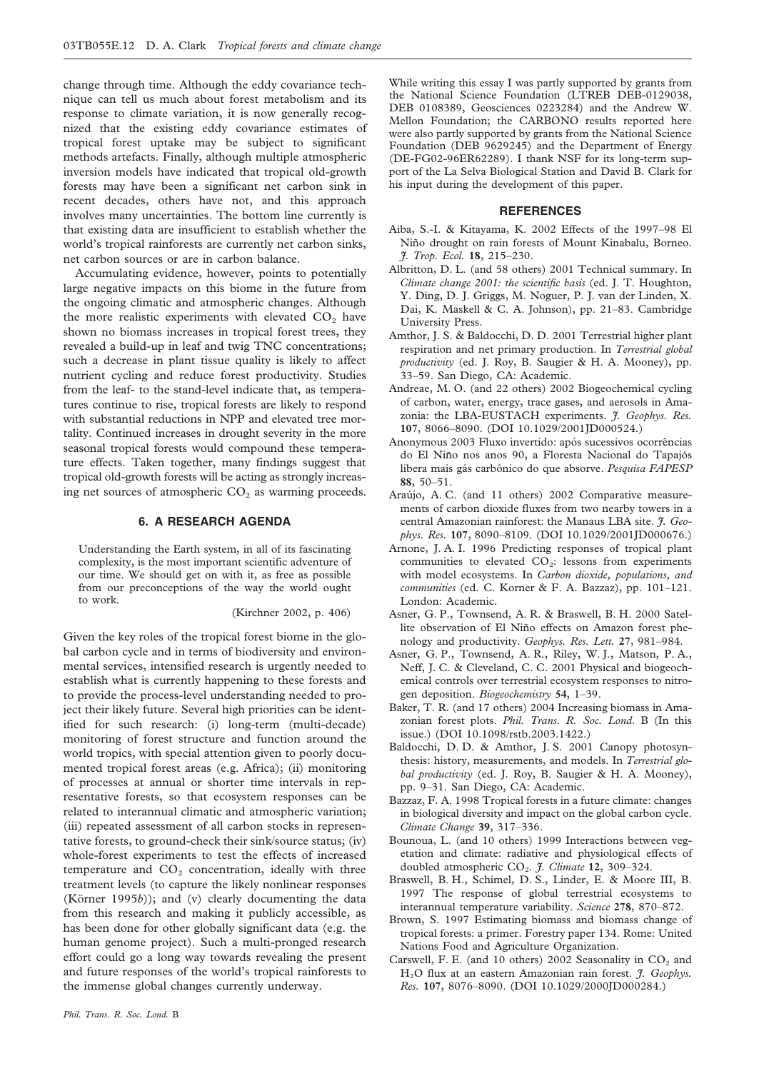change through time. Although the eddy covariance technique can tell us much about forest metabolism and its response to climate variation, it is now generally recognized that the existing eddy covariance estimates of tropical forest uptake may be subject to significant methods artefacts. Finally, although multiple atmospheric inversion models have indicated that tropical old-growth forests may have been a significant net carbon sink in recent decades, others have not, and this approach involves many uncertainties. The bottom line currently is that existing data are insufficient to establish whether the world's tropical rainforests are currently net carbon sinks, net carbon sources or are in carbon balance.

Accumulating evidence, however, points to potentially large negative impacts on this biome in the future from the ongoing climatic and atmospheric changes. Although the more realistic experiments with elevated  $CO<sub>2</sub>$  have shown no biomass increases in tropical forest trees, they revealed a build-up in leaf and twig TNC concentrations; such a decrease in plant tissue quality is likely to affect nutrient cycling and reduce forest productivity. Studies from the leaf- to the stand-level indicate that, as temperatures continue to rise, tropical forests are likely to respond with substantial reductions in NPP and elevated tree mortality. Continued increases in drought severity in the more seasonal tropical forests would compound these temperature effects. Taken together, many findings suggest that tropical old-growth forests will be acting as strongly increasing net sources of atmospheric  $CO<sub>2</sub>$  as warming proceeds.

### **6. A RESEARCH AGENDA**

Understanding the Earth system, in all of its fascinating complexity, is the most important scientific adventure of our time. We should get on with it, as free as possible from our preconceptions of the way the world ought to work.

(Kirchner 2002, p. 406)

Given the key roles of the tropical forest biome in the global carbon cycle and in terms of biodiversity and environmental services, intensified research is urgently needed to establish what is currently happening to these forests and to provide the process-level understanding needed to project their likely future. Several high priorities can be identified for such research: (i) long-term (multi-decade) monitoring of forest structure and function around the world tropics, with special attention given to poorly documented tropical forest areas (e.g. Africa); (ii) monitoring of processes at annual or shorter time intervals in representative forests, so that ecosystem responses can be related to interannual climatic and atmospheric variation; (iii) repeated assessment of all carbon stocks in representative forests, to ground-check their sink/source status; (iv) whole-forest experiments to test the effects of increased temperature and  $CO<sub>2</sub>$  concentration, ideally with three treatment levels (to capture the likely nonlinear responses (Körner 1995*b*)); and (v) clearly documenting the data from this research and making it publicly accessible, as has been done for other globally significant data (e.g. the human genome project). Such a multi-pronged research effort could go a long way towards revealing the present and future responses of the world's tropical rainforests to the immense global changes currently underway.

While writing this essay I was partly supported by grants from the National Science Foundation (LTREB DEB-0129038, DEB 0108389, Geosciences 0223284) and the Andrew W. Mellon Foundation; the CARBONO results reported here were also partly supported by grants from the National Science Foundation (DEB 9629245) and the Department of Energy (DE-FG02-96ER62289). I thank NSF for its long-term support of the La Selva Biological Station and David B. Clark for his input during the development of this paper.

## **REFERENCES**

- Aiba, S.-I. & Kitayama, K. 2002 Effects of the 1997–98 El Niño drought on rain forests of Mount Kinabalu, Borneo. *J. Trop. Ecol.* **18**, 215–230.
- Albritton, D. L. (and 58 others) 2001 Technical summary. In *Climate change 2001: the scientific basis* (ed. J. T. Houghton, Y. Ding, D. J. Griggs, M. Noguer, P. J. van der Linden, X. Dai, K. Maskell & C. A. Johnson), pp. 21–83. Cambridge University Press.
- Amthor, J. S. & Baldocchi, D. D. 2001 Terrestrial higher plant respiration and net primary production. In *Terrestrial global productivity* (ed. J. Roy, B. Saugier & H. A. Mooney), pp. 33–59. San Diego, CA: Academic.
- Andreae, M. O. (and 22 others) 2002 Biogeochemical cycling of carbon, water, energy, trace gases, and aerosols in Amazonia: the LBA-EUSTACH experiments. *J. Geophys. Res.* **107**, 8066–8090. (DOI 10.1029/2001JD000524.)
- Anonymous 2003 Fluxo invertido: após sucessivos ocorrências do El Niño nos anos 90, a Floresta Nacional do Tapajós libera mais gás carbônico do que absorve. Pesquisa FAPESP **88**, 50–51.
- Araújo, A. C. (and 11 others) 2002 Comparative measurements of carbon dioxide fluxes from two nearby towers in a central Amazonian rainforest: the Manaus LBA site. *J. Geophys. Res.* **107**, 8090–8109. (DOI 10.1029/2001JD000676.)
- Arnone, J. A. I. 1996 Predicting responses of tropical plant communities to elevated  $CO<sub>2</sub>$ : lessons from experiments with model ecosystems. In *Carbon dioxide, populations, and communities* (ed. C. Korner & F. A. Bazzaz), pp. 101–121. London: Academic.
- Asner, G. P., Townsend, A. R. & Braswell, B. H. 2000 Satellite observation of El Niño effects on Amazon forest phenology and productivity. *Geophys. Res. Lett.* **27**, 981–984.
- Asner, G. P., Townsend, A. R., Riley, W. J., Matson, P. A., Neff, J. C. & Cleveland, C. C. 2001 Physical and biogeochemical controls over terrestrial ecosystem responses to nitrogen deposition. *Biogeochemistry* **54**, 1–39.
- Baker, T. R. (and 17 others) 2004 Increasing biomass in Amazonian forest plots. *Phil. Trans. R. Soc. Lond*. B (In this issue.) (DOI 10.1098/rstb.2003.1422.)
- Baldocchi, D. D. & Amthor, J. S. 2001 Canopy photosynthesis: history, measurements, and models. In *Terrestrial global productivity* (ed. J. Roy, B. Saugier & H. A. Mooney), pp. 9–31. San Diego, CA: Academic.
- Bazzaz, F. A. 1998 Tropical forests in a future climate: changes in biological diversity and impact on the global carbon cycle. *Climate Change* **39**, 317–336.
- Bounoua, L. (and 10 others) 1999 Interactions between vegetation and climate: radiative and physiological effects of doubled atmospheric CO<sub>2</sub>. *J. Climate* 12, 309-324.
- Braswell, B. H., Schimel, D. S., Linder, E. & Moore III, B. 1997 The response of global terrestrial ecosystems to interannual temperature variability. *Science* **278**, 870–872.
- Brown, S. 1997 Estimating biomass and biomass change of tropical forests: a primer. Forestry paper 134. Rome: United Nations Food and Agriculture Organization.
- Carswell, F. E. (and 10 others) 2002 Seasonality in  $CO<sub>2</sub>$  and H2O flux at an eastern Amazonian rain forest. *J. Geophys. Res.* **107**, 8076–8090. (DOI 10.1029/2000JD000284.)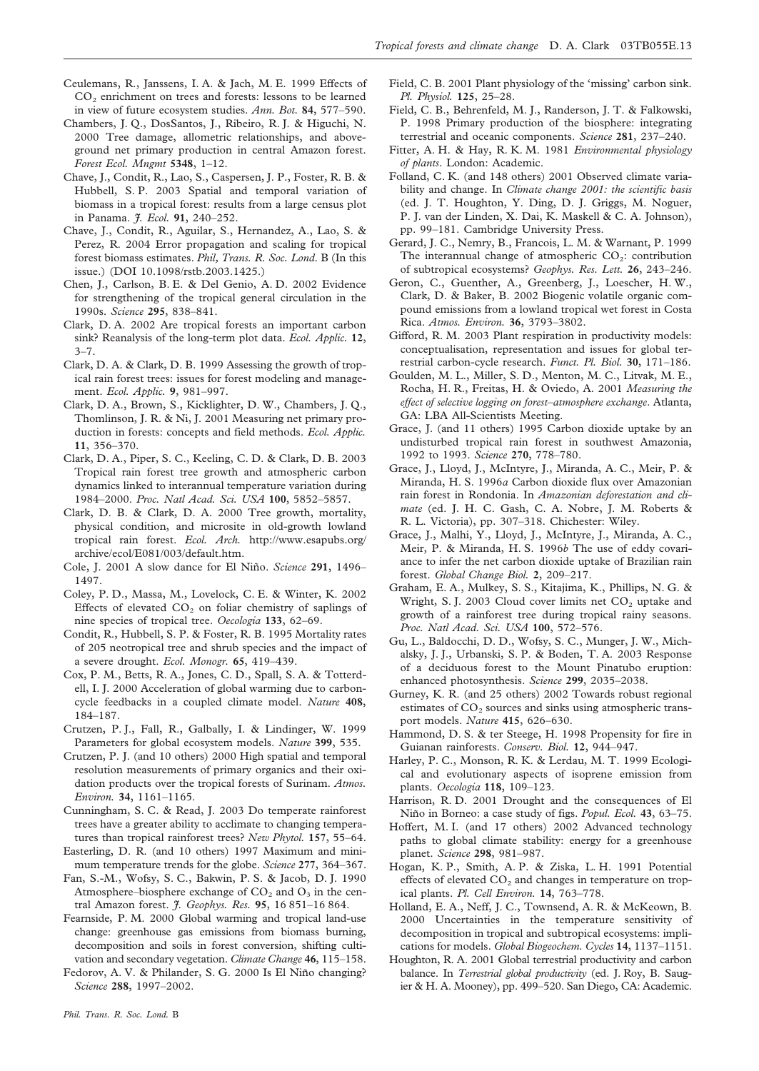- Ceulemans, R., Janssens, I. A. & Jach, M. E. 1999 Effects of CO<sub>2</sub> enrichment on trees and forests: lessons to be learned in view of future ecosystem studies. *Ann. Bot.* **84**, 577–590.
- Chambers, J. Q., DosSantos, J., Ribeiro, R. J. & Higuchi, N. 2000 Tree damage, allometric relationships, and aboveground net primary production in central Amazon forest. *Forest Ecol. Mngmt* **5348**, 1–12.
- Chave, J., Condit, R., Lao, S., Caspersen, J. P., Foster, R. B. & Hubbell, S. P. 2003 Spatial and temporal variation of biomass in a tropical forest: results from a large census plot in Panama. *J. Ecol.* **91**, 240–252.
- Chave, J., Condit, R., Aguilar, S., Hernandez, A., Lao, S. & Perez, R. 2004 Error propagation and scaling for tropical forest biomass estimates. *Phil, Trans. R. Soc. Lond*. B (In this issue.) (DOI 10.1098/rstb.2003.1425.)
- Chen, J., Carlson, B. E. & Del Genio, A. D. 2002 Evidence for strengthening of the tropical general circulation in the 1990s. *Science* **295**, 838–841.
- Clark, D. A. 2002 Are tropical forests an important carbon sink? Reanalysis of the long-term plot data. *Ecol. Applic.* **12**,  $3 - 7$ .
- Clark, D. A. & Clark, D. B. 1999 Assessing the growth of tropical rain forest trees: issues for forest modeling and management. *Ecol. Applic.* **9**, 981–997.
- Clark, D. A., Brown, S., Kicklighter, D. W., Chambers, J. Q., Thomlinson, J. R. & Ni, J. 2001 Measuring net primary production in forests: concepts and field methods. *Ecol. Applic.* **11**, 356–370.
- Clark, D. A., Piper, S. C., Keeling, C. D. & Clark, D. B. 2003 Tropical rain forest tree growth and atmospheric carbon dynamics linked to interannual temperature variation during 1984–2000. *Proc. Natl Acad. Sci. USA* **100**, 5852–5857.
- Clark, D. B. & Clark, D. A. 2000 Tree growth, mortality, physical condition, and microsite in old-growth lowland tropical rain forest. *Ecol. Arch.* http://www.esapubs.org/ archive/ecol/E081/003/default.htm.
- Cole, J. 2001 A slow dance for El Nin˜o. *Science* **291**, 1496– 1497.
- Coley, P. D., Massa, M., Lovelock, C. E. & Winter, K. 2002 Effects of elevated  $CO<sub>2</sub>$  on foliar chemistry of saplings of nine species of tropical tree. *Oecologia* **133**, 62–69.
- Condit, R., Hubbell, S. P. & Foster, R. B. 1995 Mortality rates of 205 neotropical tree and shrub species and the impact of a severe drought. *Ecol. Monogr.* **65**, 419–439.
- Cox, P. M., Betts, R. A., Jones, C. D., Spall, S. A. & Totterdell, I. J. 2000 Acceleration of global warming due to carboncycle feedbacks in a coupled climate model. *Nature* **408**, 184–187.
- Crutzen, P. J., Fall, R., Galbally, I. & Lindinger, W. 1999 Parameters for global ecosystem models. *Nature* **399**, 535.
- Crutzen, P. J. (and 10 others) 2000 High spatial and temporal resolution measurements of primary organics and their oxidation products over the tropical forests of Surinam. *Atmos. Environ.* **34**, 1161–1165.
- Cunningham, S. C. & Read, J. 2003 Do temperate rainforest trees have a greater ability to acclimate to changing temperatures than tropical rainforest trees? *New Phytol.* **157**, 55–64.
- Easterling, D. R. (and 10 others) 1997 Maximum and minimum temperature trends for the globe. *Science* **277**, 364–367.
- Fan, S.-M., Wofsy, S. C., Bakwin, P. S. & Jacob, D. J. 1990 Atmosphere–biosphere exchange of  $CO<sub>2</sub>$  and  $O<sub>3</sub>$  in the central Amazon forest. *J. Geophys. Res.* **95**, 16 851–16 864.
- Fearnside, P. M. 2000 Global warming and tropical land-use change: greenhouse gas emissions from biomass burning, decomposition and soils in forest conversion, shifting cultivation and secondary vegetation. *Climate Change* **46**, 115–158.
- Fedorov, A. V. & Philander, S. G. 2000 Is El Niño changing? *Science* **288**, 1997–2002.
- Field, C. B. 2001 Plant physiology of the 'missing' carbon sink. *Pl. Physiol.* **125**, 25–28.
- Field, C. B., Behrenfeld, M. J., Randerson, J. T. & Falkowski, P. 1998 Primary production of the biosphere: integrating terrestrial and oceanic components. *Science* **281**, 237–240.
- Fitter, A. H. & Hay, R. K. M. 1981 *Environmental physiology of plants*. London: Academic.
- Folland, C. K. (and 148 others) 2001 Observed climate variability and change. In *Climate change 2001: the scientific basis* (ed. J. T. Houghton, Y. Ding, D. J. Griggs, M. Noguer, P. J. van der Linden, X. Dai, K. Maskell & C. A. Johnson), pp. 99–181. Cambridge University Press.
- Gerard, J. C., Nemry, B., Francois, L. M. & Warnant, P. 1999 The interannual change of atmospheric  $CO<sub>2</sub>$ : contribution of subtropical ecosystems? *Geophys. Res. Lett.* **26**, 243–246.
- Geron, C., Guenther, A., Greenberg, J., Loescher, H. W., Clark, D. & Baker, B. 2002 Biogenic volatile organic compound emissions from a lowland tropical wet forest in Costa Rica. *Atmos. Environ.* **36**, 3793–3802.
- Gifford, R. M. 2003 Plant respiration in productivity models: conceptualisation, representation and issues for global terrestrial carbon-cycle research. *Funct. Pl. Biol.* **30**, 171–186.
- Goulden, M. L., Miller, S. D., Menton, M. C., Litvak, M. E., Rocha, H. R., Freitas, H. & Oviedo, A. 2001 *Measuring the effect of selective logging on forest–atmosphere exchange*. Atlanta, GA: LBA All-Scientists Meeting.
- Grace, J. (and 11 others) 1995 Carbon dioxide uptake by an undisturbed tropical rain forest in southwest Amazonia, 1992 to 1993. *Science* **270**, 778–780.
- Grace, J., Lloyd, J., McIntyre, J., Miranda, A. C., Meir, P. & Miranda, H. S. 1996*a* Carbon dioxide flux over Amazonian rain forest in Rondonia. In *Amazonian deforestation and climate* (ed. J. H. C. Gash, C. A. Nobre, J. M. Roberts & R. L. Victoria), pp. 307–318. Chichester: Wiley.
- Grace, J., Malhi, Y., Lloyd, J., McIntyre, J., Miranda, A. C., Meir, P. & Miranda, H. S. 1996*b* The use of eddy covariance to infer the net carbon dioxide uptake of Brazilian rain forest. *Global Change Biol.* **2**, 209–217.
- Graham, E. A., Mulkey, S. S., Kitajima, K., Phillips, N. G. & Wright, S. J. 2003 Cloud cover limits net  $CO<sub>2</sub>$  uptake and growth of a rainforest tree during tropical rainy seasons. *Proc. Natl Acad. Sci. USA* **100**, 572–576.
- Gu, L., Baldocchi, D. D., Wofsy, S. C., Munger, J. W., Michalsky, J. J., Urbanski, S. P. & Boden, T. A. 2003 Response of a deciduous forest to the Mount Pinatubo eruption: enhanced photosynthesis. *Science* **299**, 2035–2038.
- Gurney, K. R. (and 25 others) 2002 Towards robust regional estimates of  $CO<sub>2</sub>$  sources and sinks using atmospheric transport models. *Nature* **415**, 626–630.
- Hammond, D. S. & ter Steege, H. 1998 Propensity for fire in Guianan rainforests. *Conserv. Biol.* **12**, 944–947.
- Harley, P. C., Monson, R. K. & Lerdau, M. T. 1999 Ecological and evolutionary aspects of isoprene emission from plants. *Oecologia* **118**, 109–123.
- Harrison, R. D. 2001 Drought and the consequences of El Niño in Borneo: a case study of figs. *Popul. Ecol.* 43, 63-75.
- Hoffert, M. I. (and 17 others) 2002 Advanced technology paths to global climate stability: energy for a greenhouse planet. *Science* **298**, 981–987.
- Hogan, K. P., Smith, A. P. & Ziska, L. H. 1991 Potential effects of elevated  $CO<sub>2</sub>$  and changes in temperature on tropical plants. *Pl. Cell Environ.* **14**, 763–778.
- Holland, E. A., Neff, J. C., Townsend, A. R. & McKeown, B. 2000 Uncertainties in the temperature sensitivity of decomposition in tropical and subtropical ecosystems: implications for models. *Global Biogeochem. Cycles* **14**, 1137–1151.
- Houghton, R. A. 2001 Global terrestrial productivity and carbon balance. In *Terrestrial global productivity* (ed. J. Roy, B. Saugier & H. A. Mooney), pp. 499–520. San Diego, CA: Academic.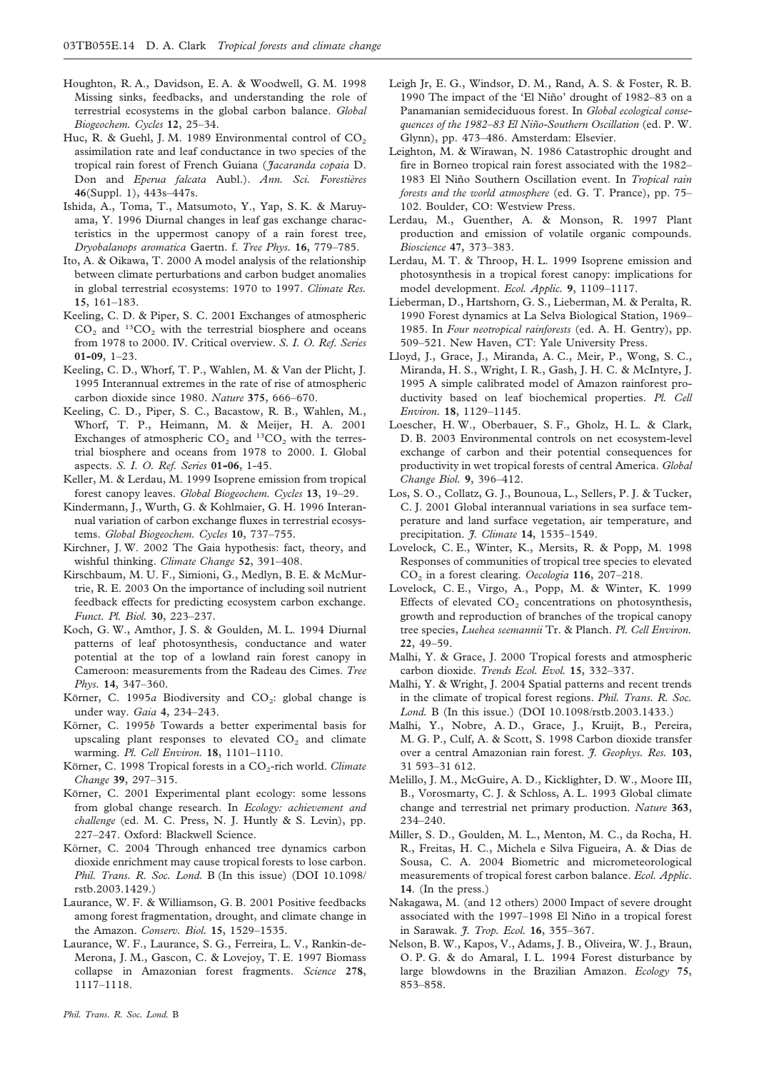- Houghton, R. A., Davidson, E. A. & Woodwell, G. M. 1998 Missing sinks, feedbacks, and understanding the role of terrestrial ecosystems in the global carbon balance. *Global Biogeochem. Cycles* **12**, 25–34.
- Huc, R. & Guehl, J. M. 1989 Environmental control of  $CO<sub>2</sub>$ assimilation rate and leaf conductance in two species of the tropical rain forest of French Guiana (*Jacaranda copaia* D. Don and *Eperua falcata* Aubl.). Ann. Sci. Forestières **46**(Suppl. 1), 443s–447s.
- Ishida, A., Toma, T., Matsumoto, Y., Yap, S. K. & Maruyama, Y. 1996 Diurnal changes in leaf gas exchange characteristics in the uppermost canopy of a rain forest tree, *Dryobalanops aromatica* Gaertn. f. *Tree Phys.* **16**, 779–785.
- Ito, A. & Oikawa, T. 2000 A model analysis of the relationship between climate perturbations and carbon budget anomalies in global terrestrial ecosystems: 1970 to 1997. *Climate Res.* **15**, 161–183.
- Keeling, C. D. & Piper, S. C. 2001 Exchanges of atmospheric  $CO<sub>2</sub>$  and <sup>13</sup>CO<sub>2</sub> with the terrestrial biosphere and oceans from 1978 to 2000. IV. Critical overview. *S. I. O. Ref. Series* **01-09**, 1–23.
- Keeling, C. D., Whorf, T. P., Wahlen, M. & Van der Plicht, J. 1995 Interannual extremes in the rate of rise of atmospheric carbon dioxide since 1980. *Nature* **375**, 666–670.
- Keeling, C. D., Piper, S. C., Bacastow, R. B., Wahlen, M., Whorf, T. P., Heimann, M. & Meijer, H. A. 2001 Exchanges of atmospheric  $CO_2$  and  $^{13}CO_2$  with the terrestrial biosphere and oceans from 1978 to 2000. I. Global aspects. *S. I. O. Ref. Series* **01-06**, 1-45.
- Keller, M. & Lerdau, M. 1999 Isoprene emission from tropical forest canopy leaves. *Global Biogeochem. Cycles* **13**, 19–29.
- Kindermann, J., Wurth, G. & Kohlmaier, G. H. 1996 Interannual variation of carbon exchange fluxes in terrestrial ecosystems. *Global Biogeochem. Cycles* **10**, 737–755.
- Kirchner, J. W. 2002 The Gaia hypothesis: fact, theory, and wishful thinking. *Climate Change* **52**, 391–408.
- Kirschbaum, M. U. F., Simioni, G., Medlyn, B. E. & McMurtrie, R. E. 2003 On the importance of including soil nutrient feedback effects for predicting ecosystem carbon exchange. *Funct. Pl. Biol.* **30**, 223–237.
- Koch, G. W., Amthor, J. S. & Goulden, M. L. 1994 Diurnal patterns of leaf photosynthesis, conductance and water potential at the top of a lowland rain forest canopy in Cameroon: measurements from the Radeau des Cimes. *Tree Phys.* **14**, 347–360.
- Körner, C. 1995 $a$  Biodiversity and CO<sub>2</sub>: global change is under way. *Gaia* **4**, 234–243.
- Körner, C. 1995*b* Towards a better experimental basis for upscaling plant responses to elevated  $CO<sub>2</sub>$  and climate warming. *Pl. Cell Environ.* **18**, 1101–1110.
- Körner, C. 1998 Tropical forests in a CO<sub>2</sub>-rich world. *Climate Change* **39**, 297–315.
- Körner, C. 2001 Experimental plant ecology: some lessons from global change research. In *Ecology: achievement and challenge* (ed. M. C. Press, N. J. Huntly & S. Levin), pp. 227–247. Oxford: Blackwell Science.
- Körner, C. 2004 Through enhanced tree dynamics carbon dioxide enrichment may cause tropical forests to lose carbon. *Phil. Trans. R. Soc. Lond.* B (In this issue) (DOI 10.1098/ rstb.2003.1429.)
- Laurance, W. F. & Williamson, G. B. 2001 Positive feedbacks among forest fragmentation, drought, and climate change in the Amazon. *Conserv. Biol.* **15**, 1529–1535.
- Laurance, W. F., Laurance, S. G., Ferreira, L. V., Rankin-de-Merona, J. M., Gascon, C. & Lovejoy, T. E. 1997 Biomass collapse in Amazonian forest fragments. *Science* **278**, 1117–1118.
- *Phil. Trans. R. Soc. Lond.* B
- Leigh Jr, E. G., Windsor, D. M., Rand, A. S. & Foster, R. B. 1990 The impact of the 'El Niño' drought of 1982–83 on a Panamanian semideciduous forest. In *Global ecological consequences of the 1982–83 El Nin˜o-Southern Oscillation* (ed. P. W. Glynn), pp. 473–486. Amsterdam: Elsevier.
- Leighton, M. & Wirawan, N. 1986 Catastrophic drought and fire in Borneo tropical rain forest associated with the 1982– 1983 El Niño Southern Oscillation event. In *Tropical rain forests and the world atmosphere* (ed. G. T. Prance), pp. 75– 102. Boulder, CO: Westview Press.
- Lerdau, M., Guenther, A. & Monson, R. 1997 Plant production and emission of volatile organic compounds. *Bioscience* **47**, 373–383.
- Lerdau, M. T. & Throop, H. L. 1999 Isoprene emission and photosynthesis in a tropical forest canopy: implications for model development. *Ecol. Applic.* **9**, 1109–1117.
- Lieberman, D., Hartshorn, G. S., Lieberman, M. & Peralta, R. 1990 Forest dynamics at La Selva Biological Station, 1969– 1985. In *Four neotropical rainforests* (ed. A. H. Gentry), pp. 509–521. New Haven, CT: Yale University Press.
- Lloyd, J., Grace, J., Miranda, A. C., Meir, P., Wong, S. C., Miranda, H. S., Wright, I. R., Gash, J. H. C. & McIntyre, J. 1995 A simple calibrated model of Amazon rainforest productivity based on leaf biochemical properties. *Pl. Cell Environ.* **18**, 1129–1145.
- Loescher, H. W., Oberbauer, S. F., Gholz, H. L. & Clark, D. B. 2003 Environmental controls on net ecosystem-level exchange of carbon and their potential consequences for productivity in wet tropical forests of central America. *Global Change Biol.* **9**, 396–412.
- Los, S. O., Collatz, G. J., Bounoua, L., Sellers, P. J. & Tucker, C. J. 2001 Global interannual variations in sea surface temperature and land surface vegetation, air temperature, and precipitation. *J. Climate* **14**, 1535–1549.
- Lovelock, C. E., Winter, K., Mersits, R. & Popp, M. 1998 Responses of communities of tropical tree species to elevated CO2 in a forest clearing. *Oecologia* **116**, 207–218.
- Lovelock, C. E., Virgo, A., Popp, M. & Winter, K. 1999 Effects of elevated  $CO<sub>2</sub>$  concentrations on photosynthesis, growth and reproduction of branches of the tropical canopy tree species, *Luehea seemannii* Tr. & Planch. *Pl. Cell Environ.* **22**, 49–59.
- Malhi, Y. & Grace, J. 2000 Tropical forests and atmospheric carbon dioxide. *Trends Ecol. Evol.* **15**, 332–337.
- Malhi, Y. & Wright, J. 2004 Spatial patterns and recent trends in the climate of tropical forest regions. *Phil. Trans. R. Soc. Lond.* B (In this issue.) (DOI 10.1098/rstb.2003.1433.)
- Malhi, Y., Nobre, A. D., Grace, J., Kruijt, B., Pereira, M. G. P., Culf, A. & Scott, S. 1998 Carbon dioxide transfer over a central Amazonian rain forest. *J. Geophys. Res.* **103**, 31 593–31 612.
- Melillo, J. M., McGuire, A. D., Kicklighter, D. W., Moore III, B., Vorosmarty, C. J. & Schloss, A. L. 1993 Global climate change and terrestrial net primary production. *Nature* **363**, 234–240.
- Miller, S. D., Goulden, M. L., Menton, M. C., da Rocha, H. R., Freitas, H. C., Michela e Silva Figueira, A. & Dias de Sousa, C. A. 2004 Biometric and micrometeorological measurements of tropical forest carbon balance. *Ecol. Applic*. **14**. (In the press.)
- Nakagawa, M. (and 12 others) 2000 Impact of severe drought associated with the 1997–1998 El Niño in a tropical forest in Sarawak. *J. Trop. Ecol.* **16**, 355–367.
- Nelson, B. W., Kapos, V., Adams, J. B., Oliveira, W. J., Braun, O. P. G. & do Amaral, I. L. 1994 Forest disturbance by large blowdowns in the Brazilian Amazon. *Ecology* **75**, 853–858.